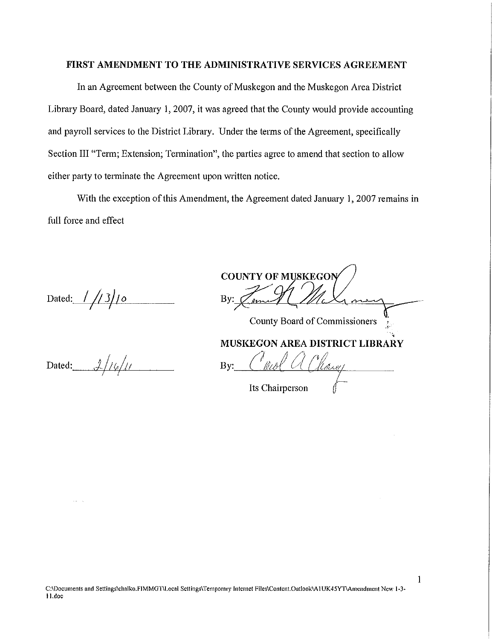### **FIRST AMENDMENT TO THE ADMINISTRATIVE SERVICES AGREEMENT**

In an Agreement between the County of Muskegon and the Muskegon Area District Library Board, dated January I, 2007, it was agreed that the County would provide accounting and payroll services to the District Library. Under the terms of the Agreement, specifically Section III "Term; Extension; Termination", the parties agree to amend that section to allow either party to terminate the Agreement upon written notice.

With the exception of this Amendment, the Agreement dated January I, 2007 remains in full force and effect

Dated: //3/10

Dated:  $\frac{1}{4}$ / $\frac{1}{4}$ 

**COUNTY OF MUSKEGON** By:  $\mathscr{C}_{\ell m}$ County Board of Commissioners

 $\frac{1}{2}$ **MUSKEGON AREA DISTRICT LIBRARY** 

By:.--'..,\_\_\_\_11£\_L"'--'=---'a"--'/t~~'------- Its Chairperson

**C:\Documents and Scttings\chalko.FIMMGnLocal Settings\ Temporary Internet Files\Content.Outlook\Al UK45YT\Amendment New 1-3-** 1 Ldoc

I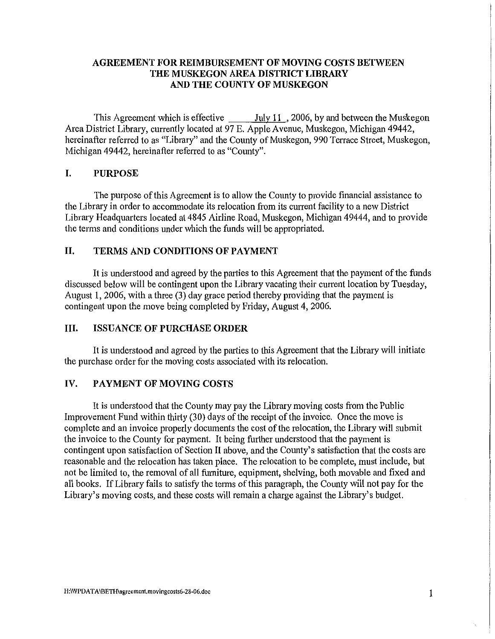# **AGREEMENT FOR REIMBURSEMENT OF MOVING COSTS BETWEEN THE MUSKEGON AREA DISTRICT LIBRARY AND THE COUNTY OF MUSKEGON**

This Agreement which is effective  $\frac{July 11}{2006}$ , by and between the Muskegon Area District Library, currently located at 97 E. Apple Avenue, Muskegon, Michigan 49442, hereinafter referred to as "Library" and the County of Muskegon, 990 Terrace Street, Muskegon, Michigan 49442, hereinafter referred to as "County".

### **I. PURPOSE**

The purpose of this Agreement is to allow the County to provide financial assistance to the Library in order to accommodate its relocation from its current facility to a new District Library Headquarters located at 4845 Airline Road, Muskegon, Michigan 49444, and to provide the terms and conditions under which the funds will be appropriated.

# **II. TERMS AND CONDITIONS OF PAYMENT**

It is understood and agreed by the patties to this Agreement that the payment of the funds discussed below will be contingent upon the Library vacating their current location by Tuesday, August 1, 2006, with a three (3) day grace period thereby providing that the payment is contingent upon the move being completed by Friday, August 4, 2006.

### **III. ISSUANCE OF PURCHASE ORDER**

It is understood and agreed by the parties to this Agreement that the Library will initiate the purchase order for the moving costs associated with its relocation.

### **IV. PAYMENT OF MOVING COSTS**

It is understood that the County may pay the Library moving costs from the Public Improvement Fund within thirty (30) days of the receipt of the invoice. Once the move is complete and an invoice properly documents the cost of the relocation, the Library will submit the invoice to the County for payment. It being further understood that the payment is contingent upon satisfaction of Section II above, and the County's satisfaction that the costs are reasonable and the relocation has taken place. The relocation to be complete, must include, but not be limited to, the removal of all furniture, equipment, shelving, both movable and fixed and all books. If Library fails to satisfy the terms of this paragraph, the County will not pay for the Library's moving costs, and these costs will remain a charge against the Library's budget.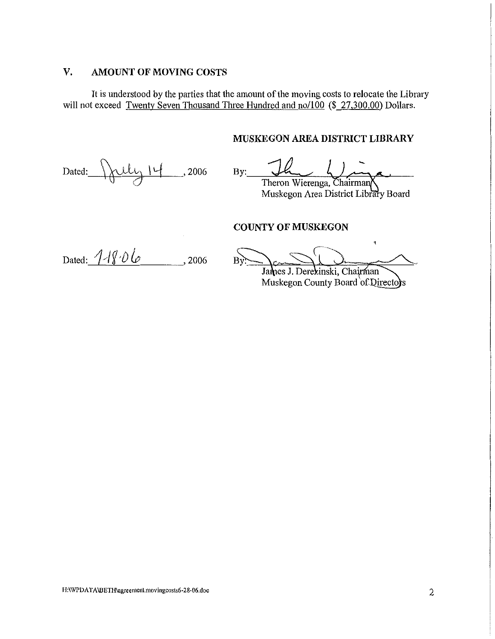## **V. AMOUNT OF MOVING COSTS**

It is understood by the parties that the amount of the moving costs to relocate the Library will not exceed Twenty Seven Thousand Three Hundred and no/100 (\$ 27,300.00) Dollars.

### **MUSKEGON AREA DISTRICT LIBRARY**

Dated:  $\overline{\{\} \mathcal{L}\mathcal{L}\}}$  14, 2006

Theron Wierenga, Chairman

Muskegon Area District Library Board

## **COUNTY OF MUSKEGON**

Dated:  $1/806$ , 2006

 $\mathbf{t}$  $B<sub>1</sub>$ James J. Derezinski, Chairman

Muskegon County Board of Directors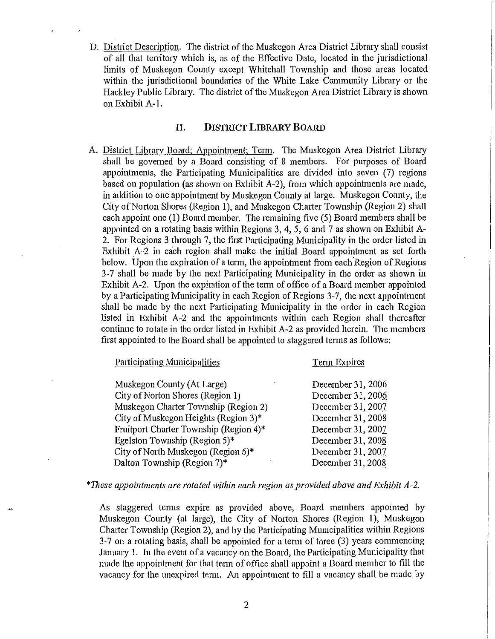D. District Description. The district of the Muskegon Area District Library shall consist of all that territory which is, as of the Effective Date, located in the jurisdictional limits of Muskegon County except Whitehall Township and those areas located within the jurisdictional boundaries of the White Lake Community Library or the Hackley Public Library. The district of the Muskegon Area District Library is shown on Exhibit A-1.

#### **II. DISTRICT LIBRARY BOARD**

A. District Library Board: Appointment: Tenn. The Muskegon Area District Library shall be governed by a Board consisting of 8 members. For purposes of Board appointments, the Participating Municipalities are divided into seven (7) regions based on population (as shown on Exhibit A-2), from which appointments are made, in addition to one appointment by Muskegon County at large. Muskegon County, the City of Norton Shores (Region 1), and Muskegon Charter Township (Region 2) shall each appoint one (1) Board member. The remaining five (5) Board members shall be appointed on a rotating basis within Regions 3, 4, 5, 6 and 7 as shown on Exhibit A-2. For Regions 3 through 7, the first Participating Municipality in the order listed in Exhibit A-2 in each region shall make the initial Board appointment as set forth below. Upon the expiration of a term, the appointment from each Region of Regions 3-7 shall be made by the next Participating Municipality in the order as shown in Exhibit A-2. Upon the expiration of the term of office of a Board member appointed by a Participating Municipality in each Region of Regions 3-7, the next appointment shall be made by the next Participating Municipality in the order in each Region listed in Exhibit A-2 and the appointments within each Region shall thereafter continue to rotate in the order listed in Exhibit A-2 as provided herein. The members first appointed to the Board shall be appointed to staggered terms as follows:

| Participating Municipalities           | Term Expires      |
|----------------------------------------|-------------------|
| Muskegon County (At Large)             | December 31, 2006 |
| City of Norton Shores (Region 1)       | December 31, 2006 |
| Muskegon Charter Township (Region 2)   | December 31, 2007 |
| City of Muskegon Heights (Region 3)*   | December 31, 2008 |
| Fruitport Charter Township (Region 4)* | December 31, 2007 |
| Egelston Township (Region $5$ )*       | December 31, 2008 |
| City of North Muskegon (Region 6)*     | December 31, 2007 |
| Dalton Township (Region 7)*            | December 31, 2008 |

*\*These appointments are rotated within each region as provided above and Exhibit A-2.* 

As staggered terms expire as provided above, Board members appointed by Muskegon County (at large), the City of Norton Shores (Region 1), Muskegon Charier Township (Region 2), and by the Participating Municipalities within Regions  $3-7$  on a rotating basis, shall be appointed for a term of three  $(3)$  years commencing January 1. In the event of a vacancy on the Board, the Participating Municipality that made the appointment for that tenn of office shall appoint a Board member to fill the vacancy for the unexpired term. Au appointment to fill a vacancy shall be made by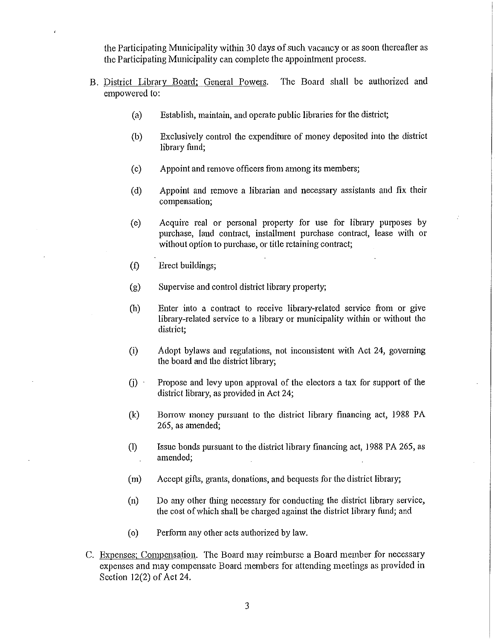the Participating Municipality within 30 days of such vacancy or as soon thereafter as the Participating Municipality can complete the appointment process.

- B. District Library Board; General Powers. The Board shall be authorized and empowered to:
	- (a) Establish, maintain, and operate public libraries for the district;
	- (b) Exclusively control the expenditure of money deposited into the district library fund;
	- (c) Appoint and remove officers from among its members;
	- (d) Appoint and remove a librarian and necessary assistants and fix their compensation;
	- (e) Acquire real or personal property for use for library purposes by purchase, laud contract, installment purchase contract, lease with or without option to purchase, or title retaining contract;
	- (f) Erect buildings;
	- (g) Supervise and control district library property;
	- $(h)$  Enter into a contract to receive library-related service from or give library-related service to a library or municipality within or without the district;
	- (i) Adopt bylaws and regulations, not inconsistent with Act 24, goveming the board and the district library;
	- $(i)$  Propose and levy upon approval of the electors a tax for support of the district library, as provided in Act 24;
	- (k) Bonow money pursuant to the district library financing act, 1988 PA 265, as amended;
	- $(1)$  Issue bonds pursuant to the district library financing act, 1988 PA 265, as amended;  $\ddot{\phantom{a}}$
	- (m) Accept gifts, grants, donations, and bequests for the district library;
	- (n) Do any other thing necessary for conducting the district library service, the cost of which shall be charged against the district library ftmd; and
	- (o) Perform any other acts authorized by law.
- C. Expenses; Compensation. The Board may reimburse a Board member for necessary expenses and may compensate Board members for attending meetings as provided in Section 12(2) of Act 24.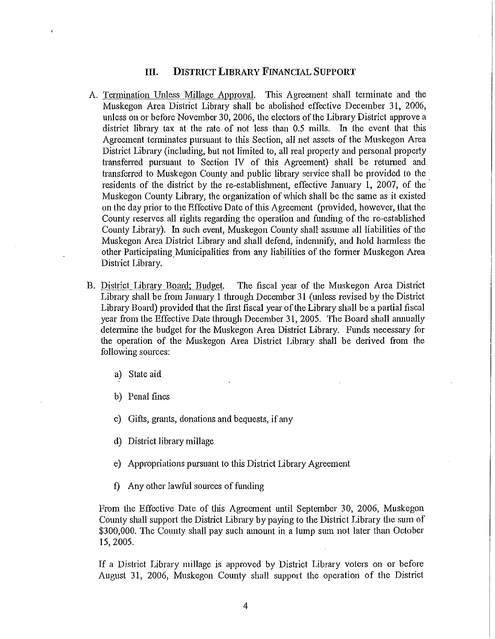#### III. DISTRICT LIBRARY FINANCIAL SUPPORT

- A. Termination Unless Millage Approval. This Agreement shall terminate and the Muskegon Area District Library shall be abolished effective December 31, 2006, unless on or before November 30, 2006, the electors of the Library District approve a district library tax at the rate of not less than 0.5 mills. In the event that this Agreement terminates pursuant to this Section, all net assets of the Muskegon Area District Library (including, but not limited to, all real property and personal property transfened pursuant to Section N of this Agreement) shall be returned and transfened to Muskegon County and public library service shall be provided to the residents of the district by the re-establishment, effective January 1, 2007, of the Muskegon County Library, the organization of which shall be the same as it existed on the day prior to the Effective Date of this Agreement (provided, however, that the County reserves all rights regarding the operation and funding of the re-established County Library). In such event, Muskegon County shall assume all liabilities of the Muskegon Area District Library and shall defend, indemnify, and hold harmless the other Participating Municipalities from any liabilities of the former Muskegon Area District Library.
- B. District Library Board; Budget. The fiscal year of the Muskegon Area District Library shall be from January I through December 31 (unless revised by the District Library Board) provided that the first fiscal year ofthe Library shall be a partial fiscal year from the Effective Date through December 31, 2005. The Board shall ammally determine the budget for the Muskegon Area District Library. Funds necessary for the operation of the Muskegon Area District Library shall be derived from the following sources:
	- a) State aid
	- b) Penal fines
	- c) Gifts, grants, donations and bequests, if any
	- d) District library millage
	- e) Appropriations pursuant to this District Library Agreement
	- f) Any other lawful sources of funding

From the Effective Date of this Agreement until September 30, 2006, Muskegon County shall support the District Library by paying to the District Library the sum of \$300,000. The County shall pay such amount in a lump sum not later than October 15,2005.

If a District Library millage is approved by District Library voters on or before August 31, 2006, Muskegon County shall support the operation of the District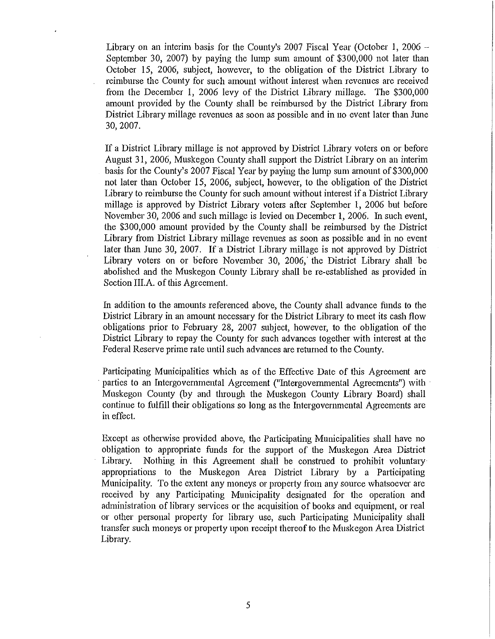Library on an interim basis for the County's 2007 Fiscal Year (October 1, 2006  $-$ September 30, 2007) by paying the lump sum amount of \$300,000 not later than October 15, 2006, subject, however, to the obligation of the District Library to reimburse the County for such amount without interest when revenues are received from the December 1, 2006 levy of the District Library millage. The \$300,000 amount provided by the County shall be reimbursed by the District Library from District Library millage revenues as soon as possible and in no event later than June 30, 2007.

If a District Library millage is not approved by District Library voters on or before August 31, 2006, Muskegon County shall support the District Library on an interim basis for the County's 2007 Fiscal Year by paying the lump sum amount of \$300,000 not later than October 15, 2006, subject, however, to the obligation of the District Library to reimburse the County for such amount without interest if a District Library millage is approved by District Library voters after September 1, 2006 but before November 30, 2006 and such millage is levied on December 1, 2006. In such event, the \$300,000 amount provided by the County shall be reimbursed by the District Library from District Library millage revenues as soon as possible and in no event later than June 30, 2007. If a District Library millage is not approved by District Library voters on or before November 30, 2006, the District Library shall be abolished and the Muskegon County Library shall be re-established as provided in Section III.A. of this Agreement.

In addition to the amounts referenced above, the County shall advance funds to the District Library in an amount necessary for the District Library to meet its cash flow obligations prior to February 28, 2007 subject, however, to the obligation of the District Library to repay the County for such advances together with interest at the Federal Reserve prime rate until such advances are returned to the County.

Participating Municipalities which as of the Effective Date of this Agreement are parties to an Intergovernmental Agreement ("Intergovernmental Agreements") with Muskegon County (by and through the Muskegon County Library Board) shall continue to fulfill their obligations so long as the Intergovernmental Agreements are in effect.

Except as otherwise provided above, the Participating Municipalities shall have no obligation to appropriate funds for the support of the Muskegon Area District Library. Nothing in this Agreement shall be construed to prohibit voluntary appropriations to the Muskegon Area District Library by a Participating Municipality. To the extent any moneys or property from any source whatsoever are received by any Participating Municipality designated for the operation and administration of library services or the acquisition of books and equipment, or real or other personal property for library use, such Participating Municipality shall transfer such moneys or property upon receipt thereof to the Muskegon Area District Library.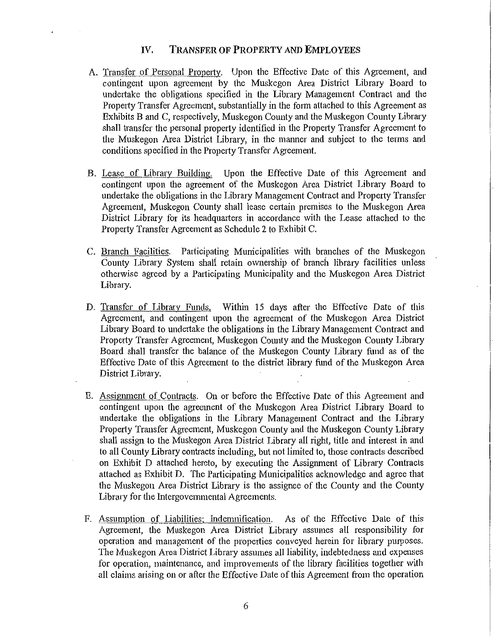### IV. TRANSFER OF PROPERTY AND EMPLOYEES

- A. Transfer of Personal Property. Upon the Effective Date of this Agreement, and contingent upon agreement by the Muskegon Area District Library Board to undertake the obligations specified in the Library Management Contract and the Property Transfer Agreement, substantially in the form attached to this Agreement as Exhibits B and C, respectively, Muskegon County and the Muskegon County Library shall transfer the personal property identified in the Property Transfer Agreement to the Muskegon Area District Library, in the manner and subject to the terms and conditions specified in the Property Transfer Agreement.
- B. Lease of Library Building. Upon the Effective Date of this Agreement and contingent upon the agreement of the Muskegon Area District Library Board to undertake the obligations in the Library Management Contract and Property Transfer Agreement, Muskegon County shall lease certain premises to the Muskegon Area District Library for its headquarters in accordance with the Lease attached to the Property Transfer Agreement as Schedule 2 to Exhibit C.
- C. Branch Facilities. Participating Municipalities with branches of the Muskegon County Library System shall retain ownership of branch library facilities unless otherwise agreed by a Participating Municipality and the Muskegon Area District Library.
- D. Transfer of Library Funds. Within 15 days after the Effective Date of this Agreement, and contingent upon the agreement of the Muskegon Area District Library Board to undertake the obligations in the Library Management Contract and Property Transfer Agreement, Muskegon County and the Muskegon County Library Board shall transfer the balance of the Muskegon County Library fund as of the Effective Date of this Agreement to the district library fund of the Muskegon Area District Library.
- E. Assignment of Contracts. On or before the Effective Date of this Agreement and contingent upon the agreement of the Muskegon Area District Library Board to undertake the obligations in the Library Management Contract and the Library Property Transfer Agreement, Muskegon County and the Muskegon County Library shall assign to the Muskegon Area District Library all right, title and interest in and to all County Library contracts including, but not limited to, those contracts described on Exhibit D attached hereto, by executing the Assigrnnent of Library Contracts attached as Exhibit D. The Participating Municipalities acknowledge and agree that the Muskegon Area District Library is the assignee of the County and the County Library for the Intergovemmental Agreements.
- F. Assumption of Liabilities; Indemnification. As of the Effective Date of this Agreement, the Muskegon Area District Library assumes all responsibility for operation and management of the properties conveyed herein for library purposes. The Muskegon Area District Library assumes all liability, indebtedness and expenses for operation, maintenance, and improvements of the library facilities together with all claims arising on or after the Effective Date of this Agreement from the operation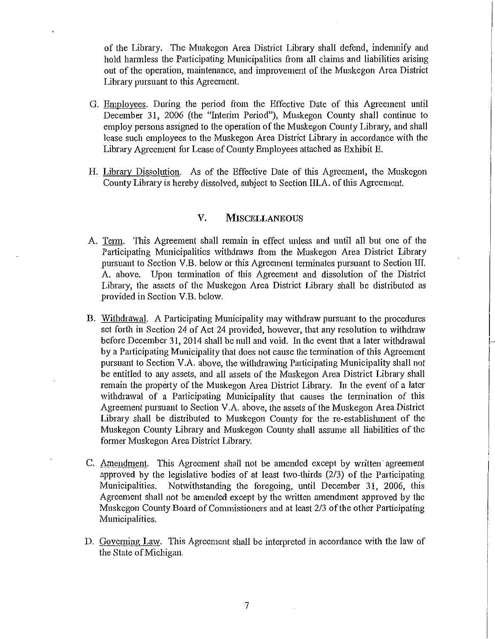of the Library. The Muskegon Area District Library shall defend, indemnify and hold harmless the Participating Municipalities from all claims and liabilities arising out of the operation, maintenance, and improvement of the Muskegon Area District Library pursuant to this Agreement.

- G. Employees. During the period from the Effective Date of this Agreement until December 31, 2006 (the "Interim Period"), Muskegon County shall continue to employ persons assigned to the operation of the Muskegon County Library, and shall lease such employees to the Muskegon Area District Library in accordance with the Library Agreement for Lease of County Employees attached as Exhibit E.
- H. Library Dissolution. As of the Effective Date of this Agreement, the Muskegon County Library is hereby dissolved, subject to Section III.A. of this Agreement.

#### **V. MISCELLANEOUS**

- A. Tenn. This Agreement shall remain in effect unless and until all but one of the Participating Municipalities withdraws from the Muskegon Area District Library pursuant to Section V.B. below or this Agreement tenninates pursuant to Section III. A. above. Upon termination of this Agreement and dissolution of the District Library, the assets of the Muskegon Area District Library shall be distributed as provided in Section V.B. below.
- B. Withdrawal. A Participating Municipality may withdraw pursuant to the procedures set forth in Section 24 of Act 24 provided, however, that any resolution to withdraw before December 31, 2014 shall be null and void. In the event that a later withdrawal by a Patticipating Municipality that does not cause the tennination of this Agreement pursuant to Section V.A. above, the withdrawing Participating Municipality shall not be entitled to any assets, and all assets of the Muskegon Area District Library shall remain the propetty of the Muskegon Area District Library. In the evenf of a later withdrawal of a Participating Municipality that causes the termination of this Agreement pursuant to Section V .A. above, the assets of the Muskegon Area District Library shall be distributed to Muskegon County for the re-establislnnent of the Muskegon County Library and Muskegon County shall assume all liabilities of the former Muskegon Area District Library.

I **International Property** 

- C. Amendment. This Agreement shall not be amended except by written· agreement approved by the legislative bodies of at least two-thirds  $(2/3)$  of the Participating Municipalities. Notwithstanding the foregoing, until December 31, 2006, this Agreement shall not be amended except by the written amendment approved by the Muskegon County Board of Commissioners and at least 2/3 of the other Participating Municipalities.
- D. Governing Law. This Agreement shall be interpreted in accordance with the law of the State of Michigan.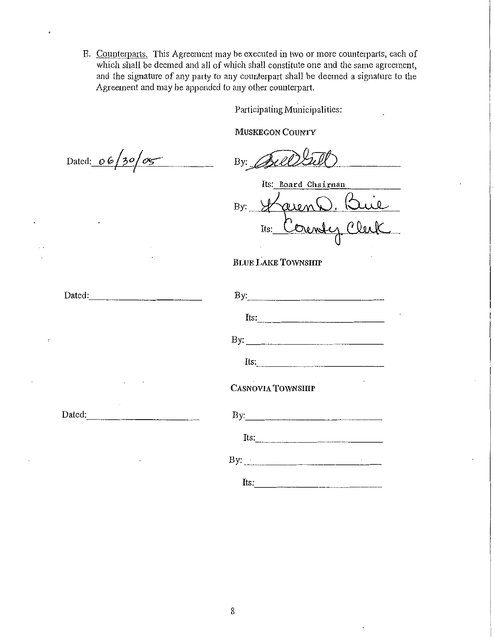E. Counterpatis. This Agreement may be executed in two or more counterparts, each of which shall be deemed and all of which shall constitute one and the same agreement, and the signature of any party to any counterpart shall be deemed a signature to the Agreement and may be appended to any other counterpart.

Participating Municipalities:

MUSKEGON COUNTY

Dated:  $06/30/05$  By:

Its: Board Chairman aien!  $By:$ Orendez Clerk Its:

# BLUE LAKE TOWNSHIP

| Dated:        | By:                                                |
|---------------|----------------------------------------------------|
|               | $Its:\n \qquad \qquad \qquad \qquad \qquad \qquad$ |
|               | By: $\qquad \qquad$                                |
|               |                                                    |
| and the state | <b>CASNOVIA TOWNSHIP</b>                           |
| Dated:        |                                                    |
|               | Its:                                               |
|               |                                                    |
|               | Its:                                               |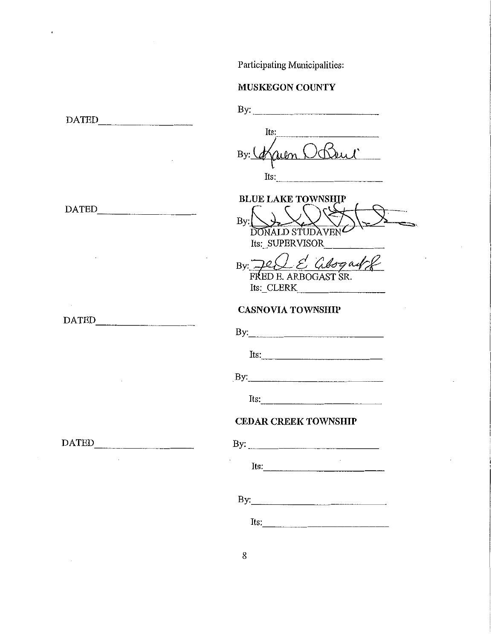Participating Municipalities:

# MUSKEGON COUNTY

 $\bar{c}$ 

|       | Its:<br>OBeni<br>By:<br>Its:                                                                                                                                                                                                                                                                                                                                                                                  |
|-------|---------------------------------------------------------------------------------------------------------------------------------------------------------------------------------------------------------------------------------------------------------------------------------------------------------------------------------------------------------------------------------------------------------------|
| DATED | <b>BLUE LAKE TOWNSHIP</b><br>By:<br><b>DONALD STUDA</b><br>Its: SUPERVISOR                                                                                                                                                                                                                                                                                                                                    |
|       | By $\Box \angle \angle \angle$ abogatly<br>FRED E. ARBOGAST SR.<br>Its: CLERK                                                                                                                                                                                                                                                                                                                                 |
|       | <b>CASNOVIA TOWNSHIP</b>                                                                                                                                                                                                                                                                                                                                                                                      |
| DATED | By: $\qquad \qquad$ $\qquad \qquad$ $\qquad$ $\qquad \qquad$ $\qquad$ $\qquad \qquad$ $\qquad$ $\qquad$ $\qquad$ $\qquad$ $\qquad$ $\qquad$ $\qquad$ $\qquad$ $\qquad$ $\qquad$ $\qquad$ $\qquad$ $\qquad$ $\qquad$ $\qquad$ $\qquad$ $\qquad$ $\qquad$ $\qquad$ $\qquad$ $\qquad$ $\qquad$ $\qquad$ $\qquad$ $\qquad$ $\qquad$ $\qquad$ $\qquad$                                                             |
|       | Its: $\qquad \qquad$                                                                                                                                                                                                                                                                                                                                                                                          |
|       |                                                                                                                                                                                                                                                                                                                                                                                                               |
|       | Its: $\frac{1}{\sqrt{1-\frac{1}{2}}\sqrt{1-\frac{1}{2}}\sqrt{1-\frac{1}{2}}\sqrt{1-\frac{1}{2}}\sqrt{1-\frac{1}{2}}\sqrt{1-\frac{1}{2}}\sqrt{1-\frac{1}{2}}\sqrt{1-\frac{1}{2}}\sqrt{1-\frac{1}{2}}\sqrt{1-\frac{1}{2}}\sqrt{1-\frac{1}{2}}\sqrt{1-\frac{1}{2}}\sqrt{1-\frac{1}{2}}\sqrt{1-\frac{1}{2}}\sqrt{1-\frac{1}{2}}\sqrt{1-\frac{1}{2}}\sqrt{1-\frac{1}{2}}\sqrt{1-\frac{1}{2}}\sqrt{1-\frac{1}{2}}\$ |
|       | <b>CEDAR CREEK TOWNSHIP</b>                                                                                                                                                                                                                                                                                                                                                                                   |
| DATED |                                                                                                                                                                                                                                                                                                                                                                                                               |
|       | Its:                                                                                                                                                                                                                                                                                                                                                                                                          |
|       |                                                                                                                                                                                                                                                                                                                                                                                                               |
|       | Its: $\frac{1}{2}$                                                                                                                                                                                                                                                                                                                                                                                            |
|       |                                                                                                                                                                                                                                                                                                                                                                                                               |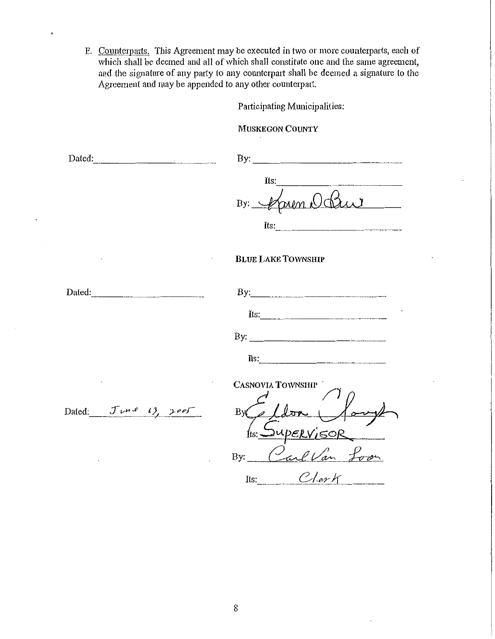E. Counterparts. This Agreement may be executed in two or more counterparts, each of which shall be deemed and all of which shall constitute one and the same agreement, and the signature of any patty to any counterpatt shall be deemed a signature to the Agreement and may be appended to any other counterpatt.

Participating Municipalities:

MUSKEGON COUNTY

| Dated: $\frac{1}{2}$ Dated: |                                                        |
|-----------------------------|--------------------------------------------------------|
|                             | Its:<br>By: $\psi$<br>Its: $\qquad \qquad$             |
|                             | <b>BLUE LAKE TOWNSHIP</b>                              |
| Dated: $\frac{1}{2}$        | By: $\qquad \qquad$                                    |
|                             | Its: $\frac{1}{2}$                                     |
|                             | Its:                                                   |
| Dated: $J\vee R$ 13, 2005   | CASNOVIA TOWNSHIP<br>By Cellon (100<br>Its: SupERVISOR |
|                             | By: Carl Van Lo                                        |
|                             | Its: $ClerK$                                           |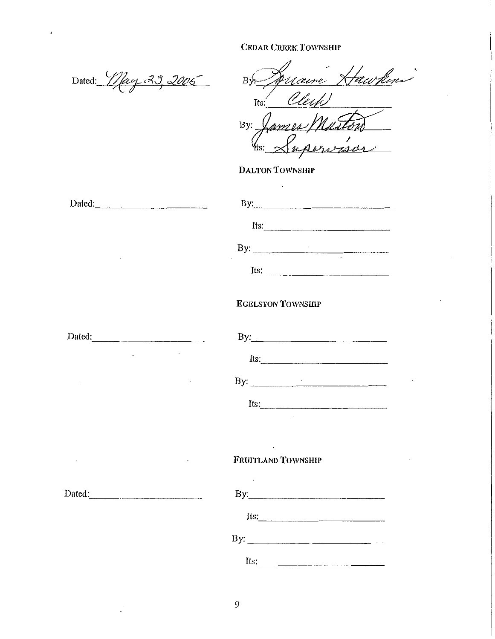Dated: May 23, 2006

Dated: \_\_\_\_\_\_\_\_ <sup>~</sup>

 $By *Quane Nauchen*$ Its: *Clerk* 

By: James/Musto  $Y$ ts:  $\chi$ upervaler

DALTON TOWNSHIP

| Dated:<br><u> 1980 - Jan James Barnett, fransk politik (</u> | By: $\qquad \qquad$            |
|--------------------------------------------------------------|--------------------------------|
|                                                              | Its:                           |
| $\bullet$                                                    | By: $\qquad \qquad$<br>$\cdot$ |
|                                                              | Its:                           |
|                                                              | <b>EGELSTON TOWNSHIP</b>       |
| Dated:                                                       | By:                            |
| ٠                                                            | Its:                           |

By:  $\qquad \qquad$ 

 $Its:\_$ 

# FRUITLAND TOWNSHIP

| By:  |     |
|------|-----|
| Its: |     |
|      | By: |
| Its: |     |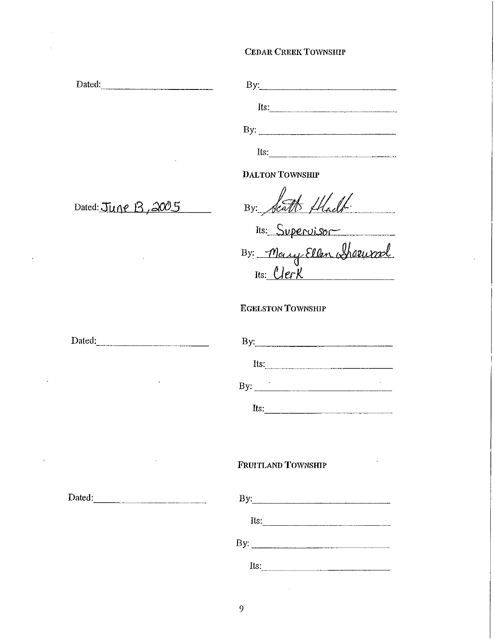| Dated:              | By: $\qquad \qquad$ $\qquad \qquad$ $\qquad \qquad$ $\qquad \qquad$ $\qquad \qquad$ $\qquad \qquad$ $\qquad \qquad$ $\qquad \qquad$ $\qquad \qquad$ $\qquad \qquad$ $\qquad \qquad$ $\qquad$ $\qquad \qquad$ $\qquad$ $\qquad$ $\qquad$ $\qquad$ $\qquad$ $\qquad$ $\qquad$ $\qquad$ $\qquad$ $\qquad$ $\qquad$ $\qquad$ $\qquad$ $\qquad$ $\qquad$ $\qquad$ $\qquad$                                                         |
|---------------------|-------------------------------------------------------------------------------------------------------------------------------------------------------------------------------------------------------------------------------------------------------------------------------------------------------------------------------------------------------------------------------------------------------------------------------|
|                     | Its:                                                                                                                                                                                                                                                                                                                                                                                                                          |
|                     | By: $\frac{1}{\sqrt{1-\frac{1}{\sqrt{1-\frac{1}{\sqrt{1-\frac{1}{\sqrt{1-\frac{1}{\sqrt{1-\frac{1}{\sqrt{1-\frac{1}{\sqrt{1-\frac{1}{\sqrt{1-\frac{1}{\sqrt{1-\frac{1}{\sqrt{1-\frac{1}{\sqrt{1-\frac{1}{\sqrt{1-\frac{1}{\sqrt{1-\frac{1}{\sqrt{1-\frac{1}{\sqrt{1-\frac{1}{\sqrt{1-\frac{1}{\sqrt{1-\frac{1}{\sqrt{1-\frac{1}{\sqrt{1-\frac{1}{\sqrt{1-\frac{1}{\sqrt{1-\frac{1}{\sqrt{1-\frac{1}{\sqrt{1-\frac{1}{\sqrt{1$ |
|                     | Its: $\qquad \qquad$                                                                                                                                                                                                                                                                                                                                                                                                          |
|                     | <b>DALTON TOWNSHIP</b>                                                                                                                                                                                                                                                                                                                                                                                                        |
| Dated: June B, 2005 | By: Scatt flach.                                                                                                                                                                                                                                                                                                                                                                                                              |
|                     | Its: Supervisor                                                                                                                                                                                                                                                                                                                                                                                                               |
|                     |                                                                                                                                                                                                                                                                                                                                                                                                                               |
|                     | By: Mary Ellen Sherwool                                                                                                                                                                                                                                                                                                                                                                                                       |
|                     | <b>EGELSTON TOWNSHIP</b>                                                                                                                                                                                                                                                                                                                                                                                                      |
| Dated:              | By: $\qquad \qquad \qquad$                                                                                                                                                                                                                                                                                                                                                                                                    |
|                     | Its: $\frac{1}{2}$                                                                                                                                                                                                                                                                                                                                                                                                            |
|                     |                                                                                                                                                                                                                                                                                                                                                                                                                               |
|                     |                                                                                                                                                                                                                                                                                                                                                                                                                               |
|                     |                                                                                                                                                                                                                                                                                                                                                                                                                               |
|                     | FRUITLAND TOWNSHIP                                                                                                                                                                                                                                                                                                                                                                                                            |
|                     | By:                                                                                                                                                                                                                                                                                                                                                                                                                           |
|                     | $Its:\_$                                                                                                                                                                                                                                                                                                                                                                                                                      |
|                     | By: $\frac{1}{\sqrt{1-\frac{1}{2}}\sqrt{1-\frac{1}{2}}\sqrt{1-\frac{1}{2}}\sqrt{1-\frac{1}{2}}\sqrt{1-\frac{1}{2}}\sqrt{1-\frac{1}{2}}\sqrt{1-\frac{1}{2}}\sqrt{1-\frac{1}{2}}\sqrt{1-\frac{1}{2}}\sqrt{1-\frac{1}{2}}\sqrt{1-\frac{1}{2}}\sqrt{1-\frac{1}{2}}\sqrt{1-\frac{1}{2}}\sqrt{1-\frac{1}{2}}\sqrt{1-\frac{1}{2}}\sqrt{1-\frac{1}{2}}\sqrt{1-\frac{1}{2}}\sqrt{1-\frac{1}{2}}\sqrt{1-\frac{1}{2}}\sqrt$              |
|                     | Its: $\qquad \qquad$                                                                                                                                                                                                                                                                                                                                                                                                          |

 $\bar{\psi}$ 

 $\mathbb{Z}$ 

 $\bar{\star}$ 

 $\sim 10$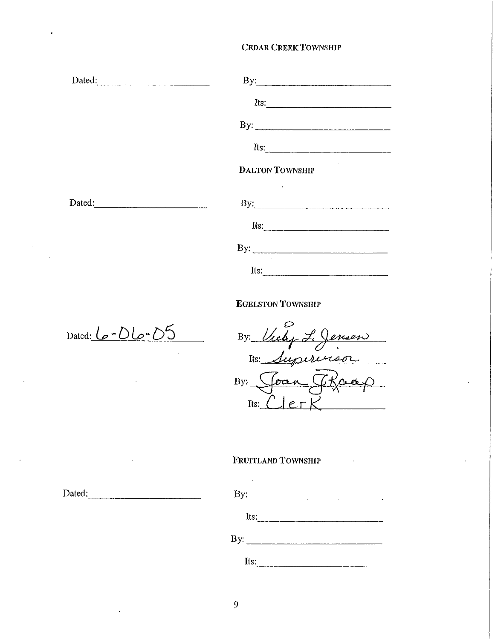| Dated: | By:                    |
|--------|------------------------|
|        | Its: $\qquad \qquad$   |
|        |                        |
|        | Its: $\qquad \qquad$   |
|        | <b>DALTON TOWNSHIP</b> |
|        | By: $\qquad \qquad$    |
|        | Its: $\qquad \qquad$   |
|        | By: $\qquad \qquad$    |
|        | Its:                   |

### EGELSTON TOWNSIIIP

Dated: G -{) */...o- D'S* 

By: Victy L. Jensen<br>Its: Supervisor  $By:$  Joan Thanp Its:  $C$   $erK$ 

# FRUITLAND TOWNSHIP

| By:                 |  |  |
|---------------------|--|--|
| Its:                |  |  |
| By: $\qquad \qquad$ |  |  |
| Its:                |  |  |

Dated:. \_\_\_\_\_\_\_\_ \_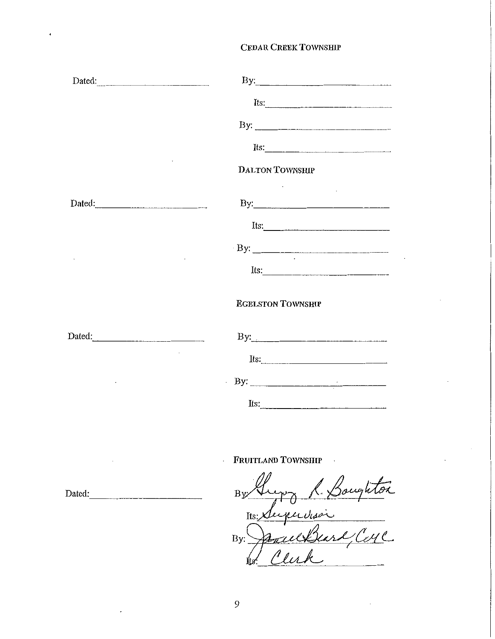| Dated:                                                                                                                                                                                                                                                                                                                                                                 | By: $\qquad \qquad$                                                                                                                                                                                                                                                                                                                                                                                           |
|------------------------------------------------------------------------------------------------------------------------------------------------------------------------------------------------------------------------------------------------------------------------------------------------------------------------------------------------------------------------|---------------------------------------------------------------------------------------------------------------------------------------------------------------------------------------------------------------------------------------------------------------------------------------------------------------------------------------------------------------------------------------------------------------|
|                                                                                                                                                                                                                                                                                                                                                                        | Its:                                                                                                                                                                                                                                                                                                                                                                                                          |
|                                                                                                                                                                                                                                                                                                                                                                        |                                                                                                                                                                                                                                                                                                                                                                                                               |
|                                                                                                                                                                                                                                                                                                                                                                        | Its: $\frac{1}{\sqrt{1-\frac{1}{2}}\sqrt{1-\frac{1}{2}}\sqrt{1-\frac{1}{2}}\sqrt{1-\frac{1}{2}}\sqrt{1-\frac{1}{2}}\sqrt{1-\frac{1}{2}}\sqrt{1-\frac{1}{2}}\sqrt{1-\frac{1}{2}}\sqrt{1-\frac{1}{2}}\sqrt{1-\frac{1}{2}}\sqrt{1-\frac{1}{2}}\sqrt{1-\frac{1}{2}}\sqrt{1-\frac{1}{2}}\sqrt{1-\frac{1}{2}}\sqrt{1-\frac{1}{2}}\sqrt{1-\frac{1}{2}}\sqrt{1-\frac{1}{2}}\sqrt{1-\frac{1}{2}}\sqrt{1-\frac{1}{2}}\$ |
|                                                                                                                                                                                                                                                                                                                                                                        | <b>DALTON TOWNSHIP</b>                                                                                                                                                                                                                                                                                                                                                                                        |
| Dated:                                                                                                                                                                                                                                                                                                                                                                 |                                                                                                                                                                                                                                                                                                                                                                                                               |
|                                                                                                                                                                                                                                                                                                                                                                        | Its:                                                                                                                                                                                                                                                                                                                                                                                                          |
|                                                                                                                                                                                                                                                                                                                                                                        |                                                                                                                                                                                                                                                                                                                                                                                                               |
|                                                                                                                                                                                                                                                                                                                                                                        | Its: $\frac{1}{2}$                                                                                                                                                                                                                                                                                                                                                                                            |
|                                                                                                                                                                                                                                                                                                                                                                        | <b>EGELSTON TOWNSHIP</b>                                                                                                                                                                                                                                                                                                                                                                                      |
| Dated: $\qquad \qquad$ $\qquad \qquad$ $\qquad \qquad$ $\qquad \qquad$ $\qquad \qquad$ $\qquad \qquad$ $\qquad \qquad$ $\qquad \qquad$ $\qquad \qquad$ $\qquad \qquad$ $\qquad \qquad$ $\qquad \qquad$ $\qquad \qquad$ $\qquad$ $\qquad$ $\qquad$ $\qquad$ $\qquad$ $\qquad$ $\qquad$ $\qquad$ $\qquad$ $\qquad$ $\qquad$ $\qquad$ $\qquad$ $\qquad$ $\qquad$ $\qquad$ |                                                                                                                                                                                                                                                                                                                                                                                                               |
|                                                                                                                                                                                                                                                                                                                                                                        | Its: $\qquad \qquad$                                                                                                                                                                                                                                                                                                                                                                                          |
|                                                                                                                                                                                                                                                                                                                                                                        | $\frac{1}{2}$ By:                                                                                                                                                                                                                                                                                                                                                                                             |
|                                                                                                                                                                                                                                                                                                                                                                        | Its: $\frac{1}{2}$                                                                                                                                                                                                                                                                                                                                                                                            |

FRUITLAND TOWNSHIP

Its: Duputison

Dated:  $\qquad \qquad \qquad \qquad \qquad \qquad \text{B}$ 

 $\ddot{\phantom{a}}$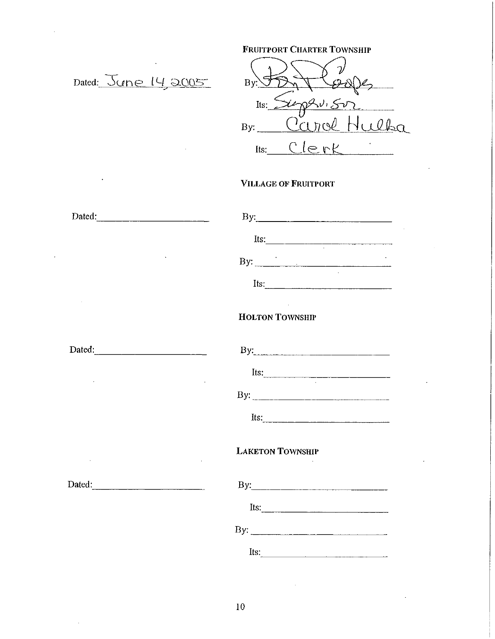|                                    | <b>FRUITPORT CHARTER TOWNSHIP</b>                                                                                                                                                                                                                                                                                                                                                                             |
|------------------------------------|---------------------------------------------------------------------------------------------------------------------------------------------------------------------------------------------------------------------------------------------------------------------------------------------------------------------------------------------------------------------------------------------------------------|
| Dated: June 14, 2005               | $By: \bigcup$                                                                                                                                                                                                                                                                                                                                                                                                 |
|                                    | Its: $\chi$ ephistr<br>By: Carol Hulba                                                                                                                                                                                                                                                                                                                                                                        |
|                                    | Its: Clerk                                                                                                                                                                                                                                                                                                                                                                                                    |
|                                    | <b>VILLAGE OF FRUITPORT</b>                                                                                                                                                                                                                                                                                                                                                                                   |
| Dated:                             |                                                                                                                                                                                                                                                                                                                                                                                                               |
|                                    | Its: $\qquad \qquad$                                                                                                                                                                                                                                                                                                                                                                                          |
|                                    | By: $\qquad \qquad$                                                                                                                                                                                                                                                                                                                                                                                           |
|                                    | Its: $\frac{1}{\sqrt{1-\frac{1}{2}}\sqrt{1-\frac{1}{2}}\sqrt{1-\frac{1}{2}}\sqrt{1-\frac{1}{2}}\sqrt{1-\frac{1}{2}}\sqrt{1-\frac{1}{2}}\sqrt{1-\frac{1}{2}}\sqrt{1-\frac{1}{2}}\sqrt{1-\frac{1}{2}}\sqrt{1-\frac{1}{2}}\sqrt{1-\frac{1}{2}}\sqrt{1-\frac{1}{2}}\sqrt{1-\frac{1}{2}}\sqrt{1-\frac{1}{2}}\sqrt{1-\frac{1}{2}}\sqrt{1-\frac{1}{2}}\sqrt{1-\frac{1}{2}}\sqrt{1-\frac{1}{2}}\sqrt{1-\frac{1}{2}}\$ |
|                                    | <b>HOLTON TOWNSHIP</b>                                                                                                                                                                                                                                                                                                                                                                                        |
| Dated:                             | By: $\frac{1}{2}$ By:                                                                                                                                                                                                                                                                                                                                                                                         |
|                                    | Its:                                                                                                                                                                                                                                                                                                                                                                                                          |
|                                    |                                                                                                                                                                                                                                                                                                                                                                                                               |
|                                    | Its:                                                                                                                                                                                                                                                                                                                                                                                                          |
| the community of the<br>$\epsilon$ | <b>LAKETON TOWNSHIP</b>                                                                                                                                                                                                                                                                                                                                                                                       |
| Dated:                             |                                                                                                                                                                                                                                                                                                                                                                                                               |
|                                    | Its: $\qquad \qquad$                                                                                                                                                                                                                                                                                                                                                                                          |
|                                    |                                                                                                                                                                                                                                                                                                                                                                                                               |
|                                    | Its: $\qquad \qquad$                                                                                                                                                                                                                                                                                                                                                                                          |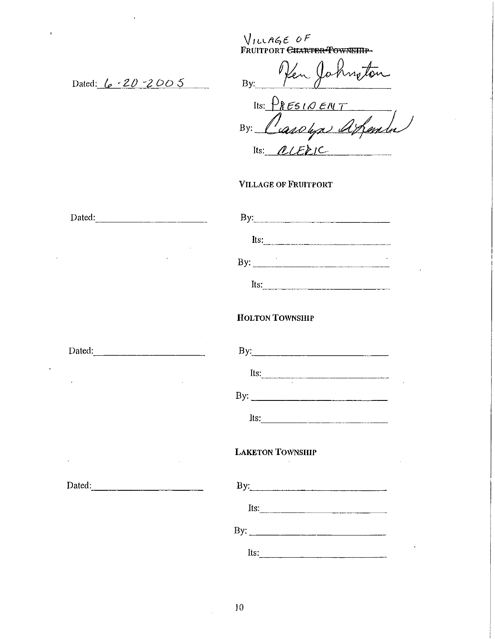$V_1$ *LLAGE OF* Fruitport <del>Charter Township</del>

Dated: <u>(p - 20 - 2005</u>

 $\ddot{\phantom{a}}$ 

 $\mathcal{D}$ notor 0 'en  $By.$ 

Its:  $P$ *RESIQENT* By: Cassalya appender Its: <u>*OLEE*IC</u>

#### VILLAGE OF FRUITPORT

| By: $\qquad \qquad$                                                                                                                                                                                                                                                                                                                                                                                           |
|---------------------------------------------------------------------------------------------------------------------------------------------------------------------------------------------------------------------------------------------------------------------------------------------------------------------------------------------------------------------------------------------------------------|
|                                                                                                                                                                                                                                                                                                                                                                                                               |
|                                                                                                                                                                                                                                                                                                                                                                                                               |
| Its: $\frac{1}{\sqrt{1-\frac{1}{2}}\sqrt{1-\frac{1}{2}}\sqrt{1-\frac{1}{2}}\sqrt{1-\frac{1}{2}}\sqrt{1-\frac{1}{2}}\sqrt{1-\frac{1}{2}}\sqrt{1-\frac{1}{2}}\sqrt{1-\frac{1}{2}}\sqrt{1-\frac{1}{2}}\sqrt{1-\frac{1}{2}}\sqrt{1-\frac{1}{2}}\sqrt{1-\frac{1}{2}}\sqrt{1-\frac{1}{2}}\sqrt{1-\frac{1}{2}}\sqrt{1-\frac{1}{2}}\sqrt{1-\frac{1}{2}}\sqrt{1-\frac{1}{2}}\sqrt{1-\frac{1}{2}}\sqrt{1-\frac{1}{2}}\$ |
| <b>HOLTON TOWNSHIP</b>                                                                                                                                                                                                                                                                                                                                                                                        |
|                                                                                                                                                                                                                                                                                                                                                                                                               |
| Its: $\frac{1}{\sqrt{1-\frac{1}{2}}\sqrt{1-\frac{1}{2}}\sqrt{1-\frac{1}{2}}\sqrt{1-\frac{1}{2}}\sqrt{1-\frac{1}{2}}\sqrt{1-\frac{1}{2}}\sqrt{1-\frac{1}{2}}\sqrt{1-\frac{1}{2}}\sqrt{1-\frac{1}{2}}\sqrt{1-\frac{1}{2}}\sqrt{1-\frac{1}{2}}\sqrt{1-\frac{1}{2}}\sqrt{1-\frac{1}{2}}\sqrt{1-\frac{1}{2}}\sqrt{1-\frac{1}{2}}\sqrt{1-\frac{1}{2}}\sqrt{1-\frac{1}{2}}\sqrt{1-\frac{1}{2}}\sqrt{1-\frac{1}{2}}\$ |
|                                                                                                                                                                                                                                                                                                                                                                                                               |
|                                                                                                                                                                                                                                                                                                                                                                                                               |
| <b>LAKETON TOWNSHIP</b>                                                                                                                                                                                                                                                                                                                                                                                       |
| By:                                                                                                                                                                                                                                                                                                                                                                                                           |
| Its: $\qquad \qquad$                                                                                                                                                                                                                                                                                                                                                                                          |
|                                                                                                                                                                                                                                                                                                                                                                                                               |
| Its: $\frac{1}{2}$                                                                                                                                                                                                                                                                                                                                                                                            |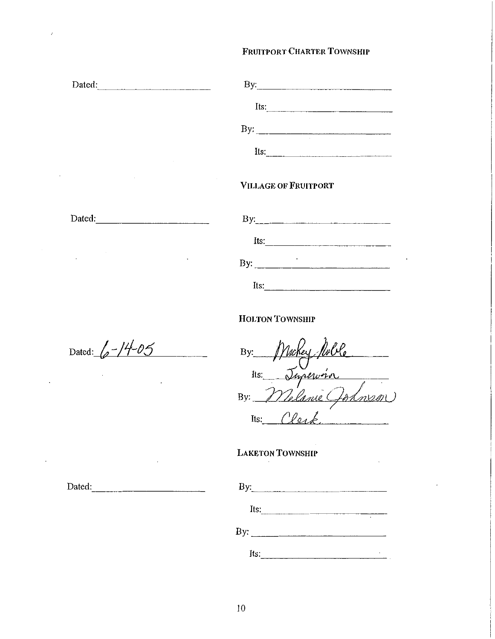### FRUITPORT CHARTER TOWNSHIP

| Dated:                   | By:                         |
|--------------------------|-----------------------------|
|                          | Its:                        |
|                          |                             |
|                          | Its:                        |
|                          | <b>VILLAGE OF FRUITPORT</b> |
| Dated: 2008. [19] Dated: | By:                         |
|                          | Its:                        |
|                          | By: $\qquad \qquad$         |
|                          | Its:                        |

HOLTON TOWNSHIP

Dated:  $\sqrt{\frac{74-05}{5}}$ 

Dated:

 $By:$  *J VICKEY TUP*  $V$  e 11s. Imperier Its: Clerk

# LAKETON ToWNSHIP

|      | By:                 |
|------|---------------------|
|      | Its:<br>٠           |
|      | By: $\qquad \qquad$ |
| Its: | ٠                   |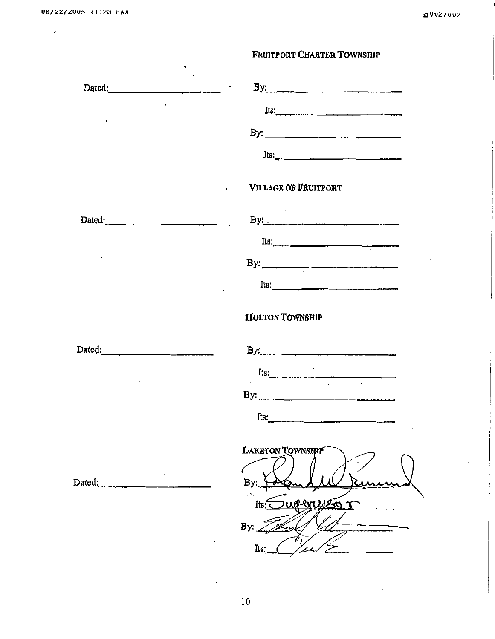$\epsilon$ 

# FRUITPORT CHARTER TOWNSHIP

| Dated:               |                                                                                                                                                                                                                                                                                                                                                                                                               |
|----------------------|---------------------------------------------------------------------------------------------------------------------------------------------------------------------------------------------------------------------------------------------------------------------------------------------------------------------------------------------------------------------------------------------------------------|
|                      | Its:<br>$\mathbf{L}$                                                                                                                                                                                                                                                                                                                                                                                          |
| $\ddot{\phantom{a}}$ |                                                                                                                                                                                                                                                                                                                                                                                                               |
|                      |                                                                                                                                                                                                                                                                                                                                                                                                               |
|                      |                                                                                                                                                                                                                                                                                                                                                                                                               |
|                      | VILLAGE OF FRUITPORT                                                                                                                                                                                                                                                                                                                                                                                          |
|                      |                                                                                                                                                                                                                                                                                                                                                                                                               |
| Dated:               |                                                                                                                                                                                                                                                                                                                                                                                                               |
|                      | Its:                                                                                                                                                                                                                                                                                                                                                                                                          |
|                      | By: $\qquad \qquad$                                                                                                                                                                                                                                                                                                                                                                                           |
|                      |                                                                                                                                                                                                                                                                                                                                                                                                               |
|                      |                                                                                                                                                                                                                                                                                                                                                                                                               |
|                      | <b>HOLTON TOWNSHIP</b>                                                                                                                                                                                                                                                                                                                                                                                        |
| Dated:               |                                                                                                                                                                                                                                                                                                                                                                                                               |
|                      |                                                                                                                                                                                                                                                                                                                                                                                                               |
|                      | Its: $\frac{1}{\sqrt{1-\frac{1}{2}}\sqrt{1-\frac{1}{2}}\sqrt{1-\frac{1}{2}}\sqrt{1-\frac{1}{2}}\sqrt{1-\frac{1}{2}}\sqrt{1-\frac{1}{2}}\sqrt{1-\frac{1}{2}}\sqrt{1-\frac{1}{2}}\sqrt{1-\frac{1}{2}}\sqrt{1-\frac{1}{2}}\sqrt{1-\frac{1}{2}}\sqrt{1-\frac{1}{2}}\sqrt{1-\frac{1}{2}}\sqrt{1-\frac{1}{2}}\sqrt{1-\frac{1}{2}}\sqrt{1-\frac{1}{2}}\sqrt{1-\frac{1}{2}}\sqrt{1-\frac{1}{2}}\sqrt{1-\frac{1}{2}}\$ |
|                      | By: $\frac{1}{2}$ $\frac{1}{2}$ $\frac{1}{2}$ $\frac{1}{2}$ $\frac{1}{2}$ $\frac{1}{2}$ $\frac{1}{2}$ $\frac{1}{2}$ $\frac{1}{2}$ $\frac{1}{2}$ $\frac{1}{2}$ $\frac{1}{2}$ $\frac{1}{2}$ $\frac{1}{2}$ $\frac{1}{2}$ $\frac{1}{2}$ $\frac{1}{2}$ $\frac{1}{2}$ $\frac{1}{2}$ $\frac{1}{2}$ $\frac{1}{2}$ $\frac{1}{2$                                                                                        |
|                      |                                                                                                                                                                                                                                                                                                                                                                                                               |
|                      | LAKETON TOWNSHIP                                                                                                                                                                                                                                                                                                                                                                                              |
|                      |                                                                                                                                                                                                                                                                                                                                                                                                               |
| Dated:               |                                                                                                                                                                                                                                                                                                                                                                                                               |
|                      | <b>MURS</b><br>Its                                                                                                                                                                                                                                                                                                                                                                                            |
|                      | By:                                                                                                                                                                                                                                                                                                                                                                                                           |
|                      | Its:                                                                                                                                                                                                                                                                                                                                                                                                          |
|                      |                                                                                                                                                                                                                                                                                                                                                                                                               |
|                      |                                                                                                                                                                                                                                                                                                                                                                                                               |
|                      | 10                                                                                                                                                                                                                                                                                                                                                                                                            |

10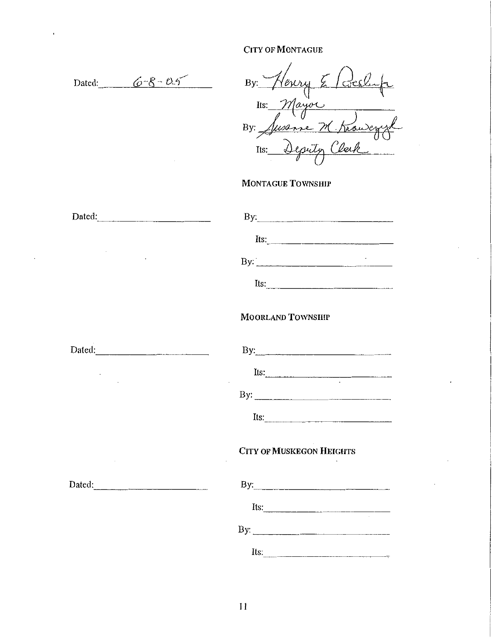$\mathcal{L}$ 

 $\ddot{\phantom{0}}$ 

| Dated: $6-8-0.5$ | By: Henry Elecclup                                                                                                                                                                                                                                                                                                                                  |
|------------------|-----------------------------------------------------------------------------------------------------------------------------------------------------------------------------------------------------------------------------------------------------------------------------------------------------------------------------------------------------|
|                  |                                                                                                                                                                                                                                                                                                                                                     |
|                  |                                                                                                                                                                                                                                                                                                                                                     |
|                  | Its: Mayor<br>By Jusanne M. Knowegy L                                                                                                                                                                                                                                                                                                               |
|                  | <b>MONTAGUE TOWNSHIP</b>                                                                                                                                                                                                                                                                                                                            |
| Dated:           | $By:\underline{\qquad \qquad }$                                                                                                                                                                                                                                                                                                                     |
|                  | Its:                                                                                                                                                                                                                                                                                                                                                |
|                  | By: $\overline{\phantom{a}}$                                                                                                                                                                                                                                                                                                                        |
|                  | Its:                                                                                                                                                                                                                                                                                                                                                |
|                  | <b>MOORLAND TOWNSHIP</b>                                                                                                                                                                                                                                                                                                                            |
| Dated:           | By: $\qquad \qquad$ $\qquad \qquad$ $\qquad$ $\qquad \qquad$ $\qquad$ $\qquad$ $\qquad$ $\qquad$ $\qquad$ $\qquad$ $\qquad$ $\qquad$ $\qquad$ $\qquad$ $\qquad$ $\qquad$ $\qquad$ $\qquad$ $\qquad$ $\qquad$ $\qquad$ $\qquad$ $\qquad$ $\qquad$ $\qquad$ $\qquad$ $\qquad$ $\qquad$ $\qquad$ $\qquad$ $\qquad$ $\qquad$ $\qquad$ $\qquad$ $\qquad$ |
|                  | Its: $\frac{1}{2}$                                                                                                                                                                                                                                                                                                                                  |
|                  |                                                                                                                                                                                                                                                                                                                                                     |
|                  | Its:                                                                                                                                                                                                                                                                                                                                                |
|                  | <b>CITY OF MUSKEGON HEIGHTS</b>                                                                                                                                                                                                                                                                                                                     |
|                  | By: $\qquad \qquad$                                                                                                                                                                                                                                                                                                                                 |
|                  | Its: $\qquad \qquad$                                                                                                                                                                                                                                                                                                                                |
|                  | By: $\qquad \qquad$                                                                                                                                                                                                                                                                                                                                 |
|                  |                                                                                                                                                                                                                                                                                                                                                     |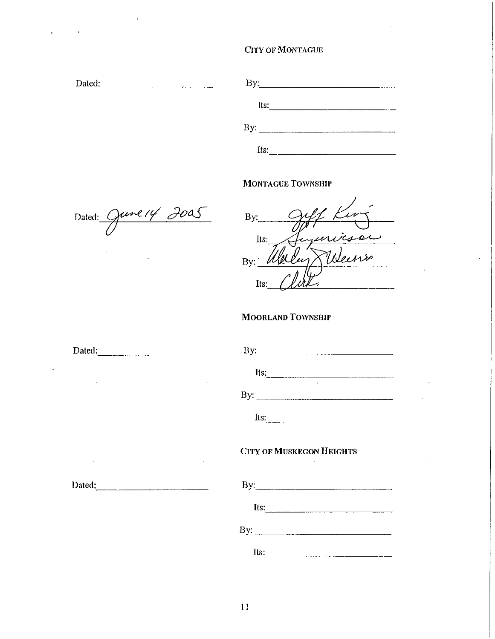| Dated: | By: $\qquad \qquad$ |  |
|--------|---------------------|--|
|        | Its:                |  |
|        | By.                 |  |
|        | Its:                |  |

# MONTAGUE TOWNSIIIP

Dated: June 14 2005

 $\bar{1}$ 

 $\mathbf{r}$ 

 $B$ y:  $Q\mathcal{U}$ /  $Ku\mathcal{V}$  $\frac{1}{10}$ .  $B$ y: Welly Ween  $\mu$ s:  $\mu$ 

# MOORLAND TOWNSHIP

| Dated: |                                                                           |
|--------|---------------------------------------------------------------------------|
|        | Its: $\qquad \qquad$                                                      |
|        |                                                                           |
|        | Its: $\qquad \qquad$                                                      |
|        | <b>CITY OF MUSKEGON HEIGHTS</b><br>the control of the control of the con- |
| Dated: | By:                                                                       |
|        | Its: $\qquad \qquad$                                                      |
|        |                                                                           |
|        | Its:                                                                      |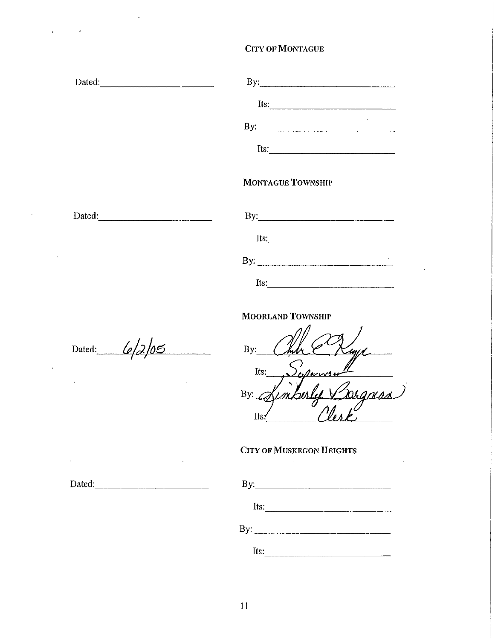| Dated:                          |                                                                                                                                                                                                                                                                                                                                                                       |
|---------------------------------|-----------------------------------------------------------------------------------------------------------------------------------------------------------------------------------------------------------------------------------------------------------------------------------------------------------------------------------------------------------------------|
|                                 | Its: $\qquad \qquad$                                                                                                                                                                                                                                                                                                                                                  |
|                                 | By: $\overline{\phantom{iiiiiiiiiiiiiii}}$                                                                                                                                                                                                                                                                                                                            |
|                                 | Its:                                                                                                                                                                                                                                                                                                                                                                  |
|                                 | <b>MONTAGUE TOWNSHIP</b>                                                                                                                                                                                                                                                                                                                                              |
| Dated:                          | By: $\qquad \qquad$ $\qquad \qquad$ $\qquad \qquad$ $\qquad \qquad$ $\qquad \qquad$ $\qquad \qquad$ $\qquad \qquad$ $\qquad \qquad$ $\qquad \qquad$ $\qquad \qquad$ $\qquad \qquad$ $\qquad$ $\qquad \qquad$ $\qquad$ $\qquad$ $\qquad$ $\qquad$ $\qquad$ $\qquad$ $\qquad$ $\qquad$ $\qquad$ $\qquad$ $\qquad$ $\qquad$ $\qquad$ $\qquad$ $\qquad$ $\qquad$ $\qquad$ |
|                                 | Its: $\frac{1}{2}$                                                                                                                                                                                                                                                                                                                                                    |
|                                 | By: $\qquad \qquad$                                                                                                                                                                                                                                                                                                                                                   |
|                                 | Its:                                                                                                                                                                                                                                                                                                                                                                  |
|                                 | <b>MOORLAND TOWNSHIP</b>                                                                                                                                                                                                                                                                                                                                              |
| Dated: $\frac{6}{3}\frac{1}{3}$ | By:                                                                                                                                                                                                                                                                                                                                                                   |
|                                 | $S_{\text{obsrosser}}$<br>Its:                                                                                                                                                                                                                                                                                                                                        |
|                                 | Sugness<br>By: $\frac{1}{4}$<br>Its:                                                                                                                                                                                                                                                                                                                                  |
| $\Box$                          | <b>CITY OF MUSKEGON HEIGHTS</b>                                                                                                                                                                                                                                                                                                                                       |
| Dated:                          |                                                                                                                                                                                                                                                                                                                                                                       |

 $\sim$ 

 $\label{eq:2.1} \frac{1}{\left(1-\frac{1}{2}\right)}\left(\frac{1}{\left(1-\frac{1}{2}\right)}\right)^{\frac{1}{2}}\left(\frac{1}{\left(1-\frac{1}{2}\right)}\right)^{\frac{1}{2}}\left(\frac{1}{\left(1-\frac{1}{2}\right)}\right)^{\frac{1}{2}}.$ 

 $\mathcal{L}^{\mathcal{L}}$ 

 $\sim$ 

 $\mathcal{A}^{\mathcal{A}}$ 

II

Its: -----------

 $\ddot{\phantom{a}}$ 

Its:  $\frac{1}{2}$ 

By: \_\_\_\_\_\_\_\_\_\_ \_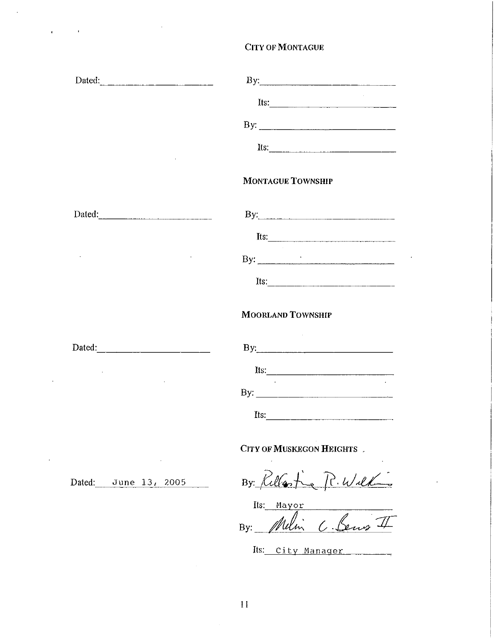|                        | Its: $\frac{1}{2}$                                                                                                                                                                                                                                                                                                                                                                                            |
|------------------------|---------------------------------------------------------------------------------------------------------------------------------------------------------------------------------------------------------------------------------------------------------------------------------------------------------------------------------------------------------------------------------------------------------------|
|                        | By: $\qquad \qquad$                                                                                                                                                                                                                                                                                                                                                                                           |
|                        | Its:                                                                                                                                                                                                                                                                                                                                                                                                          |
|                        | <b>MONTAGUE TOWNSHIP</b>                                                                                                                                                                                                                                                                                                                                                                                      |
| Dated:                 |                                                                                                                                                                                                                                                                                                                                                                                                               |
|                        | Its:                                                                                                                                                                                                                                                                                                                                                                                                          |
|                        | By: $\qquad \qquad$                                                                                                                                                                                                                                                                                                                                                                                           |
|                        | Its: $\qquad \qquad$                                                                                                                                                                                                                                                                                                                                                                                          |
|                        | <b>MOORLAND TOWNSHIP</b>                                                                                                                                                                                                                                                                                                                                                                                      |
| Dated: $\qquad \qquad$ |                                                                                                                                                                                                                                                                                                                                                                                                               |
|                        | Its: $\qquad \qquad$                                                                                                                                                                                                                                                                                                                                                                                          |
|                        |                                                                                                                                                                                                                                                                                                                                                                                                               |
|                        | Its: $\frac{1}{\sqrt{1-\frac{1}{2}}\sqrt{1-\frac{1}{2}}\sqrt{1-\frac{1}{2}}\sqrt{1-\frac{1}{2}}\sqrt{1-\frac{1}{2}}\sqrt{1-\frac{1}{2}}\sqrt{1-\frac{1}{2}}\sqrt{1-\frac{1}{2}}\sqrt{1-\frac{1}{2}}\sqrt{1-\frac{1}{2}}\sqrt{1-\frac{1}{2}}\sqrt{1-\frac{1}{2}}\sqrt{1-\frac{1}{2}}\sqrt{1-\frac{1}{2}}\sqrt{1-\frac{1}{2}}\sqrt{1-\frac{1}{2}}\sqrt{1-\frac{1}{2}}\sqrt{1-\frac{1}{2}}\sqrt{1-\frac{1}{2}}\$ |
|                        | CITY OF MUSKEGON HEIGHTS.                                                                                                                                                                                                                                                                                                                                                                                     |
| Dated: June 13, 2005   | By Rellasting R. Williams                                                                                                                                                                                                                                                                                                                                                                                     |
|                        | Its:<br>Mayor                                                                                                                                                                                                                                                                                                                                                                                                 |

 $\ddot{\phantom{a}}$ 

 $\mathcal{L}(\mathbf{r})$  and  $\mathcal{L}(\mathbf{r})$ 

By: *Willm*  $\iota$ *. Dens* 4

Its: City Nanager

 $\bar{\beta}$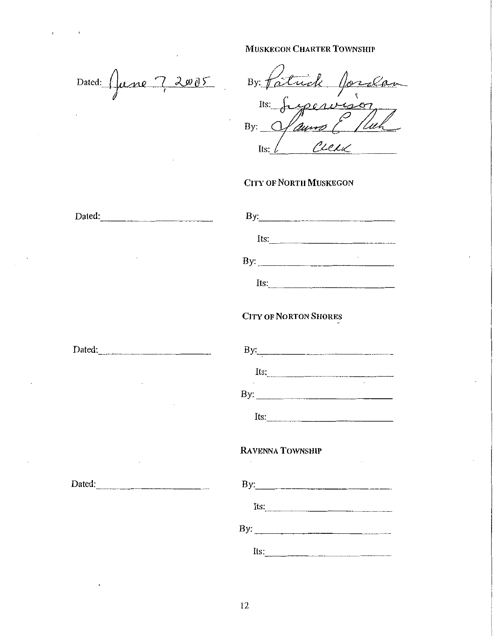Dated: *f)une* 7, 2005

Jordan By:  $f \hat{a}$ <u>uch</u> Its: yeav  $4207$ '/aur  $By:$ Its:

#### CITY OF NORTH MUSKEGON

| Dated: |                                                                                                                                                                                                                                                                                                                                                                                                               |
|--------|---------------------------------------------------------------------------------------------------------------------------------------------------------------------------------------------------------------------------------------------------------------------------------------------------------------------------------------------------------------------------------------------------------------|
|        | Its: $\frac{1}{2}$                                                                                                                                                                                                                                                                                                                                                                                            |
|        |                                                                                                                                                                                                                                                                                                                                                                                                               |
|        | Its: $\frac{1}{\sqrt{1-\frac{1}{2}}\sqrt{1-\frac{1}{2}}\sqrt{1-\frac{1}{2}}\sqrt{1-\frac{1}{2}}\sqrt{1-\frac{1}{2}}\sqrt{1-\frac{1}{2}}\sqrt{1-\frac{1}{2}}\sqrt{1-\frac{1}{2}}\sqrt{1-\frac{1}{2}}\sqrt{1-\frac{1}{2}}\sqrt{1-\frac{1}{2}}\sqrt{1-\frac{1}{2}}\sqrt{1-\frac{1}{2}}\sqrt{1-\frac{1}{2}}\sqrt{1-\frac{1}{2}}\sqrt{1-\frac{1}{2}}\sqrt{1-\frac{1}{2}}\sqrt{1-\frac{1}{2}}\sqrt{1-\frac{1}{2}}\$ |
|        | <b>CITY OF NORTON SHORES</b>                                                                                                                                                                                                                                                                                                                                                                                  |
| Dated: |                                                                                                                                                                                                                                                                                                                                                                                                               |
|        |                                                                                                                                                                                                                                                                                                                                                                                                               |
|        |                                                                                                                                                                                                                                                                                                                                                                                                               |
|        | $Its:\n \qquad \qquad \qquad \qquad$                                                                                                                                                                                                                                                                                                                                                                          |
|        | RAVENNA TOWNSHIP                                                                                                                                                                                                                                                                                                                                                                                              |
| Dated: |                                                                                                                                                                                                                                                                                                                                                                                                               |
|        |                                                                                                                                                                                                                                                                                                                                                                                                               |
|        | By: $\frac{1}{2}$ $\frac{1}{2}$ $\frac{1}{2}$ $\frac{1}{2}$ $\frac{1}{2}$ $\frac{1}{2}$ $\frac{1}{2}$ $\frac{1}{2}$ $\frac{1}{2}$ $\frac{1}{2}$ $\frac{1}{2}$ $\frac{1}{2}$ $\frac{1}{2}$ $\frac{1}{2}$ $\frac{1}{2}$ $\frac{1}{2}$ $\frac{1}{2}$ $\frac{1}{2}$ $\frac{1}{2}$ $\frac{1}{2}$ $\frac{1}{2}$ $\frac{1}{2$                                                                                        |
|        |                                                                                                                                                                                                                                                                                                                                                                                                               |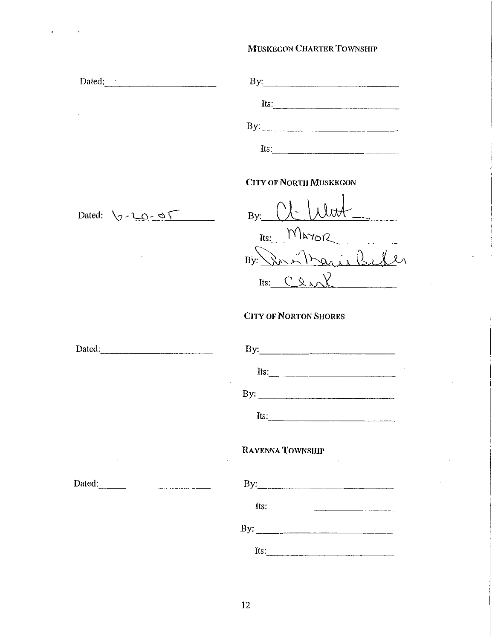| Dated:          | By:                           |
|-----------------|-------------------------------|
|                 | Its: $\qquad \qquad$          |
| $\cdot$         | By:                           |
|                 | Its:                          |
|                 | <b>CITY OF NORTH MUSKEGON</b> |
| Dated: $2-20-0$ | $\bigcup_{i=1}^{n}$<br>By:    |

 $B$ ):  $\qquad \qquad \qquad \qquad$  $Its: 1112767$  $\mathcal{D}_{n}$ ,  $\mathcal{D}_{n}$  .  $\mathcal{D}_{n}$  if  $\mathcal{D}_{n}$  $B$ y: <u>\\n 'n Paris 1sect</u>  $Its.$   $CexN$ 

# CITY OF NORTON SHORES

| Dated: | By:                  |
|--------|----------------------|
|        | Its: $\qquad \qquad$ |
|        |                      |
|        | Its: $\frac{1}{2}$   |
|        | RAVENNA TOWNSHIP     |
| Dated: |                      |
|        | Its:                 |
|        |                      |
|        | Its:                 |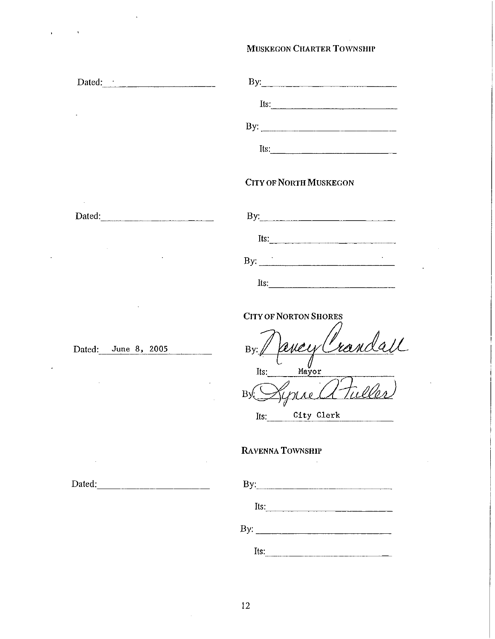| Dated: 1                                                                                                                                                                                                                                                                                                                                                                                                                                                                                                             | By:                                                                                                                                                                                                                                                                                                                                                                |
|----------------------------------------------------------------------------------------------------------------------------------------------------------------------------------------------------------------------------------------------------------------------------------------------------------------------------------------------------------------------------------------------------------------------------------------------------------------------------------------------------------------------|--------------------------------------------------------------------------------------------------------------------------------------------------------------------------------------------------------------------------------------------------------------------------------------------------------------------------------------------------------------------|
|                                                                                                                                                                                                                                                                                                                                                                                                                                                                                                                      | Its: $\frac{1}{2}$                                                                                                                                                                                                                                                                                                                                                 |
|                                                                                                                                                                                                                                                                                                                                                                                                                                                                                                                      |                                                                                                                                                                                                                                                                                                                                                                    |
|                                                                                                                                                                                                                                                                                                                                                                                                                                                                                                                      | $Its:\_$                                                                                                                                                                                                                                                                                                                                                           |
|                                                                                                                                                                                                                                                                                                                                                                                                                                                                                                                      | <b>CITY OF NORTH MUSKEGON</b>                                                                                                                                                                                                                                                                                                                                      |
| Dated:<br>$\label{eq:3} \begin{split} \mathcal{L}_{\text{max}}(\mathcal{L}_{\text{max}},\mathcal{L}_{\text{max}}) = \mathcal{L}_{\text{max}}(\mathcal{L}_{\text{max}},\mathcal{L}_{\text{max}}) \mathcal{L}_{\text{max}}(\mathcal{L}_{\text{max}}) \mathcal{L}_{\text{max}}(\mathcal{L}_{\text{max}}) \mathcal{L}_{\text{max}}(\mathcal{L}_{\text{max}}) \mathcal{L}_{\text{max}}(\mathcal{L}_{\text{max}}) \mathcal{L}_{\text{max}}(\mathcal{L}_{\text{max}}) \mathcal{L}_{\text{max}}(\mathcal{L}_{\text{max}}) \$ | By: $\qquad \qquad$ $\qquad \qquad$ $\qquad \qquad$ $\qquad \qquad$ $\qquad \qquad$ $\qquad \qquad$ $\qquad \qquad$ $\qquad \qquad$ $\qquad$ $\qquad \qquad$ $\qquad$ $\qquad$ $\qquad$ $\qquad$ $\qquad$ $\qquad$ $\qquad$ $\qquad$ $\qquad$ $\qquad$ $\qquad$ $\qquad$ $\qquad$ $\qquad$ $\qquad$ $\qquad$ $\qquad$ $\qquad$ $\qquad$ $\qquad$ $\qquad$ $\qquad$ |
|                                                                                                                                                                                                                                                                                                                                                                                                                                                                                                                      | Its: $\qquad \qquad$                                                                                                                                                                                                                                                                                                                                               |
|                                                                                                                                                                                                                                                                                                                                                                                                                                                                                                                      | By: $\qquad \qquad$                                                                                                                                                                                                                                                                                                                                                |

 $Its$ 

CITY OF NORTON SHORES

 $\bar{\mathbf{t}}$ 

Dated: June 8, 2005 By: Devery Crandall  $\begin{array}{ccc} & \downarrow & \mathcal{U} \\ & \mathcal{I} & \mathcal{U} \\ \mathcal{I} & \mathcal{I} & \mathcal{U} \end{array}$ B Syriald Tuller

Its: City Clerk

### RAVENNA TOWNSHIP

| Dated: | By: |
|--------|-----|
|        |     |

| Dy. |      |  |  |  |
|-----|------|--|--|--|
|     | Its: |  |  |  |
| By: |      |  |  |  |
|     | Its: |  |  |  |

 $\bar{z}$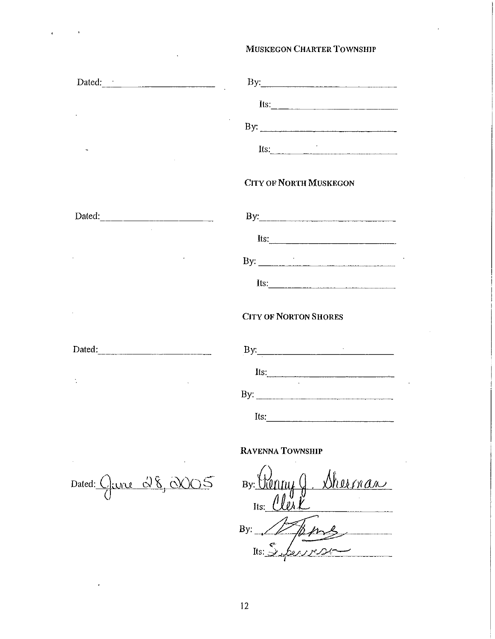| Dated: <u>The Communication</u> |                                                                                                                                                                                                                                                                                                                                                                                                               |
|---------------------------------|---------------------------------------------------------------------------------------------------------------------------------------------------------------------------------------------------------------------------------------------------------------------------------------------------------------------------------------------------------------------------------------------------------------|
|                                 | Its: $\frac{1}{\sqrt{1-\frac{1}{2}}\sqrt{1-\frac{1}{2}}\sqrt{1-\frac{1}{2}}\sqrt{1-\frac{1}{2}}\sqrt{1-\frac{1}{2}}\sqrt{1-\frac{1}{2}}\sqrt{1-\frac{1}{2}}\sqrt{1-\frac{1}{2}}\sqrt{1-\frac{1}{2}}\sqrt{1-\frac{1}{2}}\sqrt{1-\frac{1}{2}}\sqrt{1-\frac{1}{2}}\sqrt{1-\frac{1}{2}}\sqrt{1-\frac{1}{2}}\sqrt{1-\frac{1}{2}}\sqrt{1-\frac{1}{2}}\sqrt{1-\frac{1}{2}}\sqrt{1-\frac{1}{2}}\sqrt{1-\frac{1}{2}}\$ |
|                                 | By: $\overline{\phantom{a}}$                                                                                                                                                                                                                                                                                                                                                                                  |
|                                 | Its: $\qquad \qquad$                                                                                                                                                                                                                                                                                                                                                                                          |
|                                 | <b>CITY OF NORTH MUSKEGON</b>                                                                                                                                                                                                                                                                                                                                                                                 |
|                                 | By: $\qquad \qquad$ $\qquad \qquad$ $\qquad$ $\qquad \qquad$ $\qquad$ $\qquad \qquad$ $\qquad$ $\qquad$ $\qquad$ $\qquad$ $\qquad$ $\qquad$ $\qquad$ $\qquad$ $\qquad$ $\qquad$ $\qquad$ $\qquad$ $\qquad$ $\qquad$ $\qquad$ $\qquad$ $\qquad$ $\qquad$ $\qquad$ $\qquad$ $\qquad$ $\qquad$ $\qquad$ $\qquad$ $\qquad$ $\qquad$ $\qquad$ $\qquad$                                                             |
|                                 | Its:                                                                                                                                                                                                                                                                                                                                                                                                          |
|                                 |                                                                                                                                                                                                                                                                                                                                                                                                               |
|                                 | $Its:\_$                                                                                                                                                                                                                                                                                                                                                                                                      |
|                                 | <b>CITY OF NORTON SHORES</b>                                                                                                                                                                                                                                                                                                                                                                                  |
|                                 |                                                                                                                                                                                                                                                                                                                                                                                                               |
|                                 | Its:                                                                                                                                                                                                                                                                                                                                                                                                          |
|                                 |                                                                                                                                                                                                                                                                                                                                                                                                               |
|                                 | Its: $\frac{1}{2}$                                                                                                                                                                                                                                                                                                                                                                                            |
|                                 | RAVENNA TOWNSHIP                                                                                                                                                                                                                                                                                                                                                                                              |

Dated: Clance 28, 0005

 $\mathbf{r}$ 

By: Renny Q <u> Dhuman</u> By:  $Its$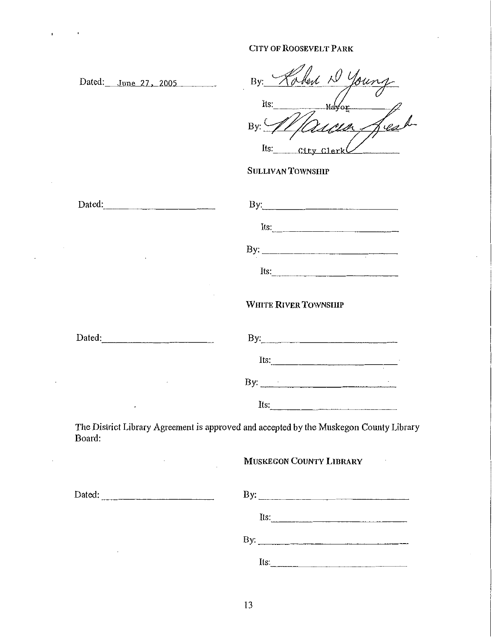Dated: June 27, 2005

 $\ddot{\phantom{0}}$ 

 $\overline{\phantom{a}}$ 

 $\overline{\phantom{a}}$ 

| By:            | $\sqrt{2}$ | $\Lambda$ . |
|----------------|------------|-------------|
| Its:           |            |             |
| $\overline{B}$ |            |             |
| Its:           | C11<br>tу  |             |

# SULLIVAN TOWNSIIIP

| Dated: |                                                                                        |
|--------|----------------------------------------------------------------------------------------|
|        | Its: $\frac{1}{2}$                                                                     |
|        |                                                                                        |
|        | Its:                                                                                   |
|        | <b>WHITE RIVER TOWNSHIP</b>                                                            |
| Dated: |                                                                                        |
|        | $Its$ .                                                                                |
|        |                                                                                        |
|        | Its: $\qquad \qquad$                                                                   |
| Board: | The District Library Agreement is approved and accepted by the Muskegon County Library |
|        | <b>MUSKEGON COUNTY LIBRARY</b>                                                         |

| Dated: |  |  |  |  |
|--------|--|--|--|--|
|        |  |  |  |  |

| Dated: | $\mathbf{By:}$ |  |
|--------|----------------|--|
|        | Its:           |  |
|        | By:            |  |
| ٠      | Its:           |  |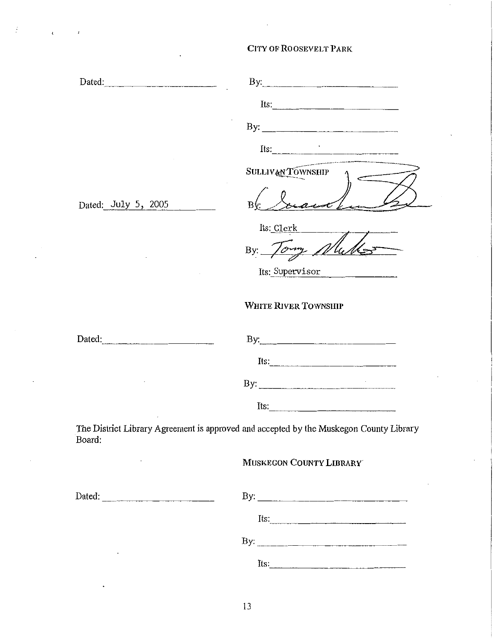| Dated:              | By:                                                                                                                                                                                                                                                                                                                                               |
|---------------------|---------------------------------------------------------------------------------------------------------------------------------------------------------------------------------------------------------------------------------------------------------------------------------------------------------------------------------------------------|
|                     | Its:                                                                                                                                                                                                                                                                                                                                              |
|                     |                                                                                                                                                                                                                                                                                                                                                   |
|                     | $Its:\n \qquad \qquad \qquad$                                                                                                                                                                                                                                                                                                                     |
|                     | $\sim$ and a set of the state of the set of the state of the state of the state of the state of the state of the state of the state of the state of the state of the state of the state of the state of the state of the state<br>SULLIVAN TOWNSHIP                                                                                               |
| Dated: July 5, 2005 | B۱                                                                                                                                                                                                                                                                                                                                                |
|                     | Its: Clerk                                                                                                                                                                                                                                                                                                                                        |
|                     | By: Tormy                                                                                                                                                                                                                                                                                                                                         |
|                     | Its: Supervisor                                                                                                                                                                                                                                                                                                                                   |
|                     | WHITE RIVER TOWNSHIP                                                                                                                                                                                                                                                                                                                              |
| Dated:              | By: $\qquad \qquad$ $\qquad \qquad$ $\qquad$ $\qquad \qquad$ $\qquad$ $\qquad \qquad$ $\qquad$ $\qquad$ $\qquad$ $\qquad$ $\qquad$ $\qquad$ $\qquad$ $\qquad$ $\qquad$ $\qquad$ $\qquad$ $\qquad$ $\qquad$ $\qquad$ $\qquad$ $\qquad$ $\qquad$ $\qquad$ $\qquad$ $\qquad$ $\qquad$ $\qquad$ $\qquad$ $\qquad$ $\qquad$ $\qquad$ $\qquad$ $\qquad$ |
|                     | Its: $\frac{1}{2}$                                                                                                                                                                                                                                                                                                                                |
|                     | By: $\qquad \qquad$                                                                                                                                                                                                                                                                                                                               |
|                     | Its:                                                                                                                                                                                                                                                                                                                                              |
| Board:              | The District Library Agreement is approved and accepted by the Muskegon County Library                                                                                                                                                                                                                                                            |
|                     | MUSKEGON COUNTY LIBRARY                                                                                                                                                                                                                                                                                                                           |
|                     |                                                                                                                                                                                                                                                                                                                                                   |
|                     |                                                                                                                                                                                                                                                                                                                                                   |
|                     |                                                                                                                                                                                                                                                                                                                                                   |
|                     | Its: $\frac{1}{2}$                                                                                                                                                                                                                                                                                                                                |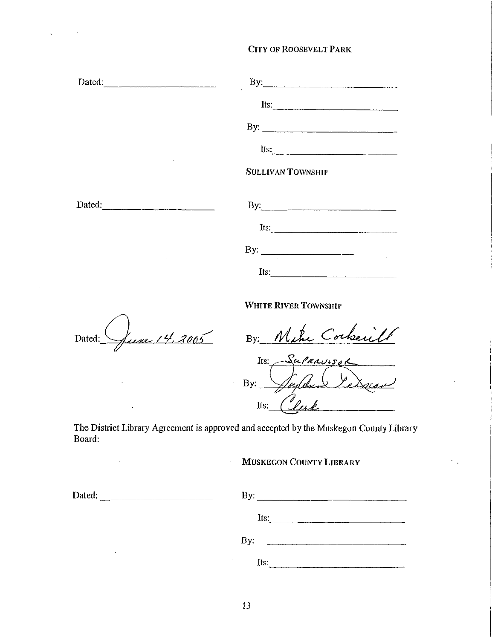| Dated: | By:                      |
|--------|--------------------------|
|        | Its:                     |
|        |                          |
|        | Its:                     |
|        | <b>SULLIVAN TOWNSHIP</b> |
| Dated: |                          |
|        | Its: $\qquad \qquad$     |
|        |                          |
|        | Its:                     |
|        |                          |

WHITE RIVER TOWNSHIP

une 14, 2005 Dated:

 $\sim$ 

By: Mike Cockerill

PERVISO Its:  $\sum_{e}$ By: lerk Its:

The District Library Agreement is approved and accepted by the Muskegon County Library Board:

 $\mathbb{I}$ 

### MUSKEGON COUNTY LIBRARY

| Dated:               | $\mathbf{By:}$                     |
|----------------------|------------------------------------|
|                      | Its:                               |
|                      | By: $\frac{1}{2}$                  |
| $\ddot{\phantom{1}}$ | $\overline{a}$<br>Its:<br>-------- |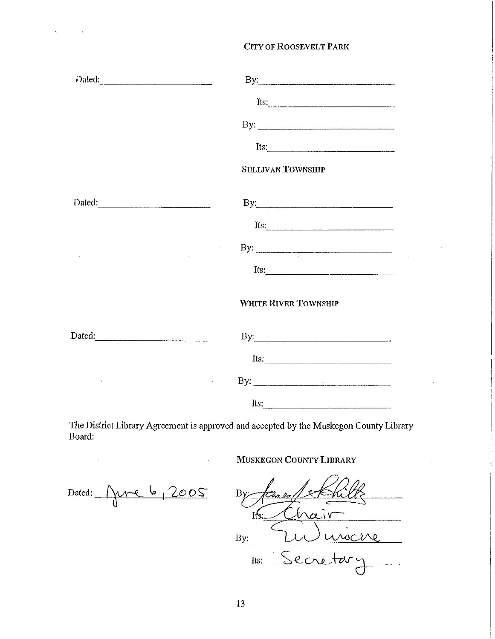|        | Its:                                                                                |
|--------|-------------------------------------------------------------------------------------|
|        | <b>SULLIVAN TOWNSHIP</b>                                                            |
| Dated: | By:                                                                                 |
|        | Its:                                                                                |
|        | By: $\qquad \qquad$                                                                 |
|        | Its: $\frac{1}{\sqrt{1-\frac{1}{2}}\left\vert \frac{1}{2}\right\vert +\frac{1}{2}}$ |
|        | WHITE RIVER TOWNSHIP                                                                |
| Dated: |                                                                                     |
|        | Its: $\qquad \qquad$                                                                |
|        |                                                                                     |
|        | Its:                                                                                |

The District Library Agreement is approved and accepted by the Muskegon County Library Board:

 $\bar{\beta}$ 

MUSKEGON COUNTY LIBRARY

Dated:  $\boxed{\phantom{1}}$ June 6, 2005

 $\bar{\mathcal{L}}$ 

 $\mathcal{L}^{\text{max}}_{\text{max}}$  and  $\mathcal{L}^{\text{max}}_{\text{max}}$ 

 $\ddot{\phantom{0}}$ 

 $By:$ Is.  $\alpha$ iv usche By. Secretary Its: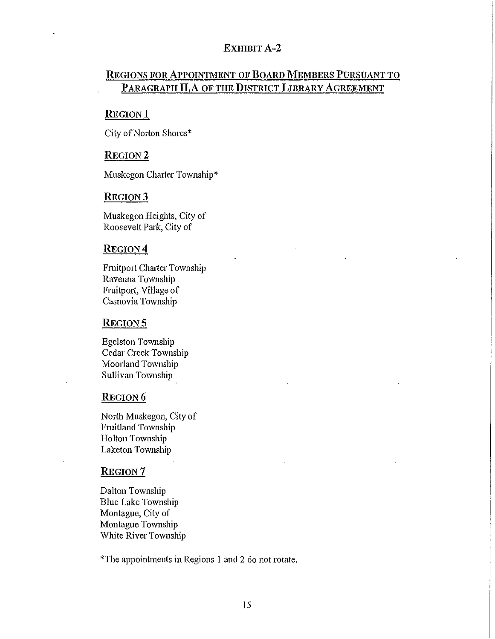### EXHIBIT A-2

# REGIONS FOR APPOINTMENT OF BOARD MEMBERS PURSUANT TO PARAGRAPH **JI.A** OF THE DISTRICT LIBRARY AGREEMENT

#### **REGION**1

City of Norton Shores\*

#### REGION<sub>2</sub>

Muskegon Charter Township\*

# REGION<sub>3</sub>

Muskegon Heights, City of Roosevelt Park, City of

### REGION<sub>4</sub>

Fruitport Charter Township Ravenna Township Fruitport, Village of Casnovia Township

#### **REGION 5**

Egelston Township Cedar Creek Township Moorland Township Sullivan Township

# REGION<sub>6</sub>

North Muskegon, City of Fruitland Township Holton Township Laketon Township

#### REGION<sub>7</sub>

Dalton Township Blue Lake Township Montague, City of Montague Township White River Township

\*The appointments in Regions I and 2 do not rotate.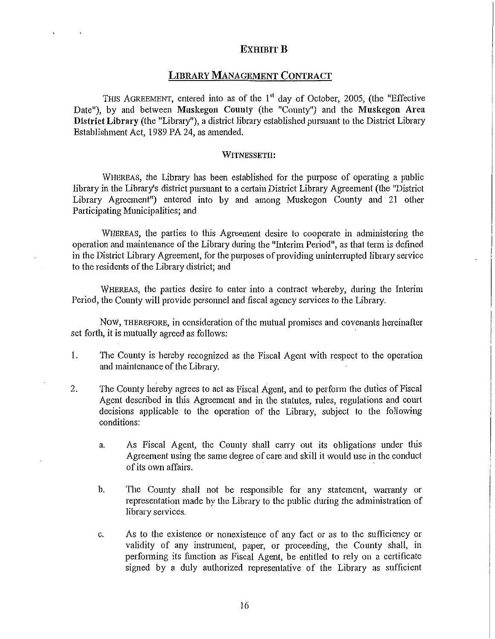### EXHIBIT **B**

#### LIBRARY MANAGEMENT CONTRACT

THIS AGREEMENT, entered into as of the 1<sup>st</sup> day of October, 2005, (the "Effective Date"), by and between Muskegon County (the "County") and the Muskegon Area District Library (the "Library"), a district library established pursuant to the District Library Establislnnent Act, 1989 PA 24, as amended.

#### WITNESSETH:

WHEREAS, the Library has been established for the purpose of operating a public library in the Library's district pursuant to a certain District Library Agreement (the "District Library Agreement") entered into by and among Muskegon County and 21 other Participating Municipalities; and

WHEREAS, the parties to this Agreement desire to cooperate in administering the operation and maintenance of the Library during the "Interim Period", as that tenn is defined in the District Library Agreement, for the purposes of providing uninterrupted library service to the residents of the Library district; and

WHEREAS, the parties desire to enter into a contract whereby, during the Interim Period, the County will provide personnel and fiscal agency services to the Library.

Now, THEREFORE, in consideration of the mutual promises and covenants hereinafter set forth, it is mutually agreed as follows:

- 1. The County is hereby recognized as the Fiscal Agent with respect to the operation and maintenance of the Library.
- 2. The County hereby agrees to act as Fiscal Agent, and to perfotm the duties of Fiscal Agent described in this Agreement and in the statutes, rules, regulations and court decisions applicable to the operation of the Library, subject to the following conditions:
	- a. As Fiscal Agent, the County shall carry out its obligations under this Agreement using the same degree of care and skill it would use in the conduct of its own affairs.
	- b. The County shall not be responsible for any statement, warranty or representation made by the Library to the public during the administration of library services.
	- c. As to the existence or nonexistence of any fact or as to the sufficiency or validity of any instrument, paper, or proceeding, the County shall, in perfonning its function as Fiscal Agent, be entitled to rely on a certificate signed by a duly authorized representative of the Library as sufficient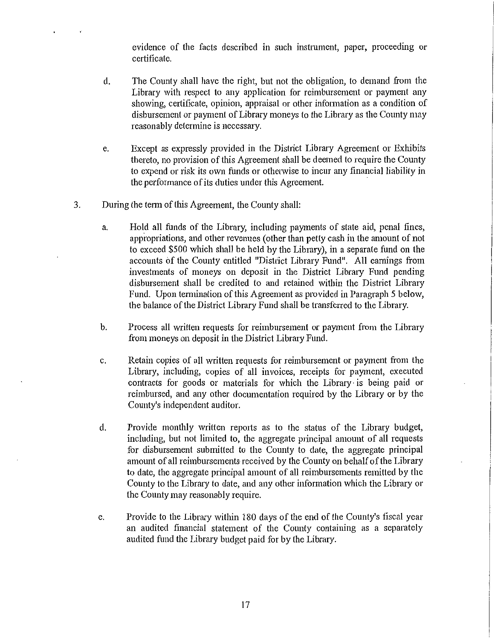evidence of the facts described in such instrument, paper, proceeding or certificate.

- d. The County shall have the right, but not the obligation, to demand from the Library with respect to any application for reimbursement or payment any showing, certificate, opinion, appraisal or other infonnation as a condition of disbursement or payment of Library moneys to the Library as the County may reasonably determine is necessary.
- e. Except as expressly provided in the District Library Agreement or Exhibits thereto, no provision of this Agreement shall be deemed to require the County to expend or risk its own funds or otherwise to incur any financial liability in the performance of its duties under this Agreement.
- 3. During the term of this Agreement, the County shall:
	- a. Hold all funds of the Library, including payments of state aid, penal fines, appropriations, and other revenues (other than petty cash in the amount of not to exceed \$500 which shall be held by the Library), in a separate fund on the accounts of the County entitled "District Library Fund". All earnings from investments of moneys on deposit in the District Library Fund pending disbursement shall be credited to and retained within the District Library Fund. Upon termination of this Agreement as provided in Paragraph 5 below, the balance of the District Library Fund shall be transferred to the Library.
	- b. Process all written requests for reimbursement or payment from the Library from moneys on deposit in the District Library Fund.
	- c. Retain copies of all written requests for reimbursement or payment from the Library, including, copies of all invoices, receipts for payment, executed contracts for goods or materials for which the Library· is being paid or reimbursed, and any other documentation required by the Library or by the County's independent auditor.
	- d. Provide monthly written reports as to the status of the Library budget, including, but not limited to, the aggregate principal amount of all requests for disbursement submitted to the County to date, the aggregate principal amount of all reimbursements received by the County on behalf of the Library to date, the aggregate principal amount of all reimbursements remitted by the County to the Library to date, and any other information which the Library or the County may reasonably require.
	- e. Provide to the Library within 180 days of the end of the County's fiscal year an audited financial statement of the County containing as a separately audited fund the Library budget paid for by the Library.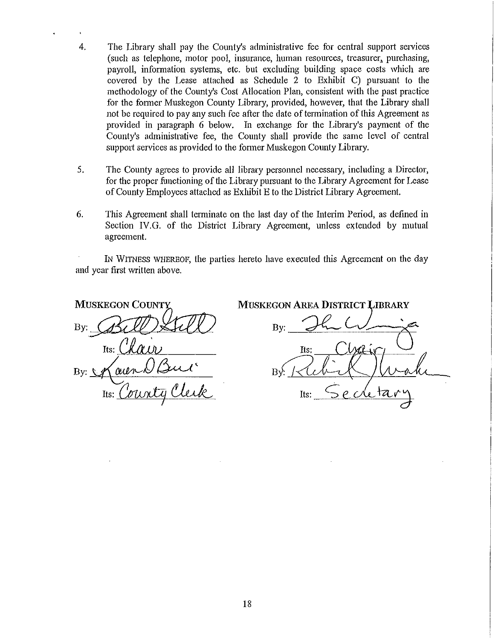- 4. The Library shall pay the County's administrative fee for central support services (such as telephone, motor pool, insurance, human resources, treasurer, purchasing, payroll, information systems, etc. but excluding building space costs which are covered by the Lease attached as Schedule 2 to Exhibit C) pursuant to the methodology of the County's Cost Allocation Plan, consistent with the past practice for the fonner Muskegon County Library, provided, however, that the Library shall not be required to pay any such fee after the date of termination of this Agreement as provided in paragraph 6 below. In exchange for the Library's payment of the County's administrative fee, the County shall provide the same level of central support services as provided to the fonner Muskegon County Library.
- 5. The County agrees to provide all library personnel necessary, including a Director, for the proper functioning of the Library pursuant to the Library Agreement for Lease of County Employees attached as Exhibit E to the District Library Agreement.
- 6. This Agreement shall terminate on the last day of the Interim Period, as defined in Section IV.G. of the District Library Agreement, unless extended by mutual agreement.

IN WITNESS WHEREOF, the parties hereto have executed this Agreement on the day and year first written above.

**MUSKEGON COUNTY**  $Bv$ :  $\mathscr{G}\mathscr{U}$  .  $\mathscr{G}\mathscr{U}$ Its: Chair

**MUSKEGON AREA DISTRICT LIBRARY** 

 $B_{Y}$ : The Wing Tts: By: <u>Maur Vour Burne By: Kub (Jurn</u><br>Its: <u>County Club</u> Its: Secretary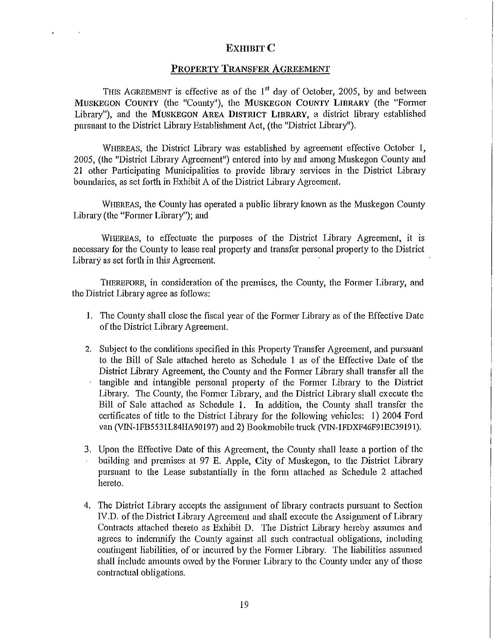### EXHIBIT<sub>C</sub>

### PROPERTY TRANSFER AGREEMENT

THIS AGREEMENT is effective as of the  $1<sup>st</sup>$  day of October, 2005, by and between MUSKEGON COUNTY (the "County"), the MUSKEGON COUNTY LIBRARY (the "Former Library"), and the MUSKEGON AREA DISTRICT LIBRARY, a disttict library established pursuant to the District Library Establishment Act, (the "District Library").

WHEREAS, the District Library was established by agreement effective October 1, 2005, (the "Disttict Library Agreement") entered into by and among Muskegon County and 21 other Participating Municipalities to provide library services in the District Library boundaries, as set forth in Exhibit A of the District Library Agreement.

WHEREAS, the County has operated a public library known as the Muskegon County Library (the "Fonner Library"); and

WHEREAS, to effectuate the purposes of the District Library Agreement, it is necessary for the County to lease real property and transfer personal property to the District Library as set forth in this Agreement.

THEREFORE, in consideration of the premises, the County, the Former Library, and the District Library agree as follows:

- 1. The County shall close the fiscal year of the Former Library as of the Effective Date of the District Library Agreement.
- 2. Subject to the conditions specified in this Property Transfer Agreement, and pursuant to the Bill of Sale attached hereto as Schedule 1 as of the Effective Date of the District Library Agreement, the County and the Former Library shall transfer all the tangible and intangible personal property of the Former Library to the District Library. The County, the Former Library, and the District Library shall execute the Bill of Sale attached as Schedule 1. In addition, the County shall transfer the certificates of title to the District Library for the following vehicles: 1) 2004 Ford van (VIN-1FB5531L84HA90197) and 2) Bookmobile truck (VIN-1FDXF46F91EC39191).
- 3. Upon the Effective Date of this Agreement, the County shall lease a portion of the building and premises at 97 E. Apple, City of Muskegon, to the District Library pursuant to the Lease substantially in the fonn attached as Schedule 2 attached hereto.
- 4. The District Library accepts the assignment of library contracts pursuant to Section IV.D. of the District Library Agreement and shall execute the Assignment of Library Contracts attached thereto as Exhibit D. The District Library hereby assumes and agrees to indemnify the County against all such contractual obligations, including contingent liabilities, of or incurred by the Former Library. The liabilities assumed shall include amounts owed by the Fonner Library to the County under any of those contractual obligations.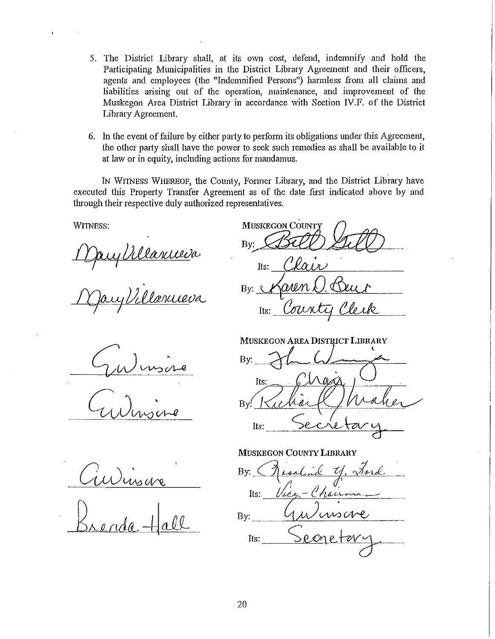- 5. The District Library shall, at its own cost, defend, indemnify and hold the Participating Municipalities in the District Library Agreement and their officers, agents and employees (the "Indemnified Persons") harmless from all claims and liabilities arising out of the operation, maintenance, and improvement of the Muskegon Area District Library in accordance with Section IV.F. of the District Library Agreement.
- 6. In the event of failure by either party to perfonn its obligations under this Agreement, the other party shall have the power to seek such remedies as shall be available to it at law or in equity, including actions for mandamus.

IN WITNESS WHEREOF, the County, Fonner Library, and the District Library have executed this Property Transfer Agreement as of the date first indicated above by and through their respective duly authorized representatives.

**MUSKEGON COUNTY** 

WITNESS:

<u>I fauj déla adul</u>a

Mary Villanueva

 $By$ ; Stall Sull */)()\_* ' .  $\frac{1}{18}$ .  $\frac{1}{18}$ By:  $\sqrt{\alpha}$ *un*  $\ell$ Its: County

MUSKEGON AREA DISTRICT LIBRARY

By: Its:  $Bv'$ Its:

MUSKEGON COUNTY LIBRARY By: 1 asalind Y. Ford Its:  $Use$ -Chairman  $_{\text{By:}}$  GuV usave  $Its: \qquad \qquad \searrow \mathcal{C} \wedge \mathcal{C}$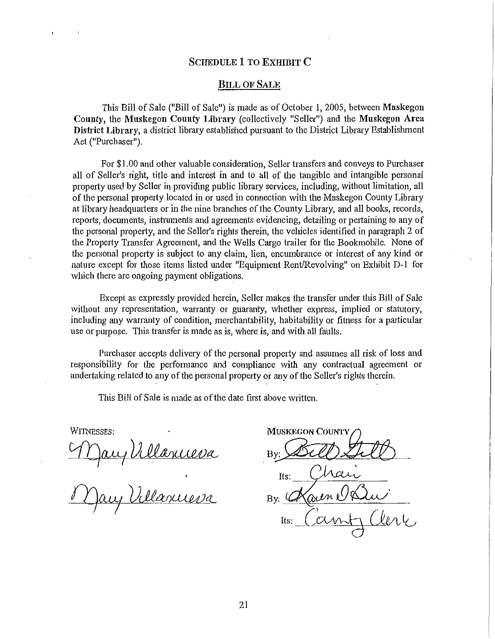### SCHEDULE 1 TO EXHIBIT C

#### BILL OF SALE

This Bill of Sale ("Bill of Sale") is made as of October 1, 2005, between Muskegon County, the Muskegon County Library (collectively "Seller") and the Muskegon Area District Library, a district library established pursuant to the District Library Establishment Act ("Purchaser").

For \$1.00 and other valuable consideration, Seller transfers and conveys to Purchaser all of Seller's right, title and interest in and to all of the tangible and intangible personal property used by Seller in providing public library services, including, without limitation, all of the personal property located in or used in cormection with the Muskegon County Library at library headquatters or in the nine branches of the County Library, and all books, records, reports, documents, instruments and agreements evidencing, detailing or pertaining to any of the personal property, and the Seller's rights therein, the vehicles identified in paragraph 2 of the Property Transfer Agreement, and the Wells Cargo trailer for the Bookmobile. None of the personal propetty is subject to any claim, lien, encumbrance or interest of any kind or nature except for those items listed under "Equipment Rent/Revolving" on Exhibit D-1 for which there are ongoing payment obligations.

Except as expressly provided herein, Seller makes the transfer under this Bill of Sale without any representation, warranty or guaranty, whether express, implied or statutory, including any warranty of condition, merchantability, habitability or fitness for a particular use or purpose. This transfer is made as is, where is, and with all faults.

Purchaser accepts delivery of the personal property and assumes all risk of loss and responsibility for the perfonnance and compliance with any contractual agreement or undertaking related to any of the personal property or any of the Seller's rights therein.

This Bill of Sale is made as of the date first above written.

WITNESSES:

Mary Villanneva<br>Mary Villanneva

**MUSKEGON COUNTY** Bv:

Its: nen K By:  $\mathcal{U}$ Its: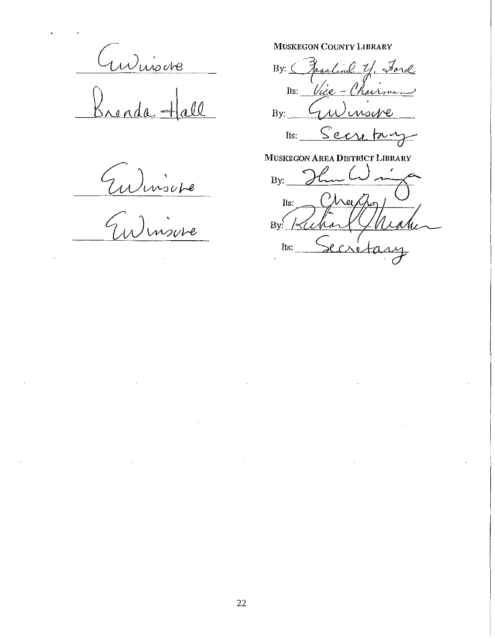Winsere  $\overline{ada} + a$  $\overline{\mathcal{U}}$ 

Eulinsiere

MUSKEGON COUNTY LIBRARY

By: ( Fasaline y, Ford Its: *Vice - Chairman* By: Gulmoure

Its: Secretary

MUSKEGON AREA DISTRICT LIBRARY

By:  $\bigcirc$ (Trey  $Its:$ By Kehar  $Its.$  Secret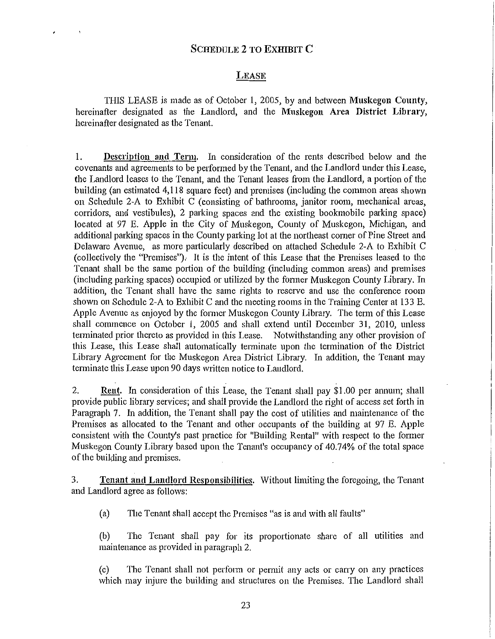### LEASE

THIS LEASE is made as of October 1, 2005, by and between Muskegon County, hereinafter designated as the Landlord, and the Muskegon Area District Library, hereinafter designated as the Tenant.

I. Description and Term. In consideration of the rents described below and the covenants and agreements to be performed by the Tenant, and the Landlord under this Lease, the Landlord leases to the Tenant, and the Tenant leases from the Landlord, a portion of the building (an estimated 4,118 square feet) and premises (including the common areas shown on Schedule 2-A to Exhibit C (consisting of bathrooms, janitor room, mechanical areas, corridors, and vestibules), 2 parking spaces and the existing bookmobile parking space) located at 97 E. Apple in the City of Muskegon, County of Muskegon, Michigan, and additional parking spaces in the County parking lot at the northeast comer of Pine Street and Delaware Avenue, as more particularly described on attached Schedule 2-A to Exhibit C (collectively the "Premises"). It is the intent of this Lease that the Premises leased to the Tenant shall be the same portion of the building (including common areas) and premises (including parking spaces) occupied or utilized by the fonner Muskegon County Library. In addition, the Tenant shall have the same rights to reserve and use the conference room shown on Schedule 2-A to Exhibit C and the meeting rooms in the Training Center at 133 E. Apple Avenue as enjoyed by the former Muskegon County Library. The term of this Lease shall commence on October 1, 2005 and shall extend until December 31, 2010, unless terminated prior thereto as provided in this Lease. Notwithstanding any other provision of this Lease, this Lease shall automatically tenninate upon the termination of the District Library Agreement for the Muskegon Area District Library. In addition, the Tenant may terminate this Lease upon 90 days written notice to Landlord.

2. Rent. In consideration of this Lease, the Tenant shall pay \$1.00 per annum; shall provide public library services; and shall provide the Landlord the right of access set forth in Paragraph 7. In addition, the Tenant shall pay the cost of utilities and maintenance of the Premises as allocated to the Tenant and other occupants of the building at 97 E. Apple consistent with the County's past practice for "Building Rental" with respect to the former Muskegon County Library based upon the Tenant's occupancy of 40.74% of the total space of the building and premises.

3. Tenant and Landlord Responsibilities. Without limiting the foregoing, the Tenant and Landlord agree as follows:

(a) The Tenant shall accept the Premises "as is and with all faults"

(b) The Tenant shall pay for its proportionate share of all utilities and maintenance as provided in paragraph 2.

(c) The Tenant shall not perform or permit any acts or carry on any practices which may injure the building and structures on the Premises. The Landlord shall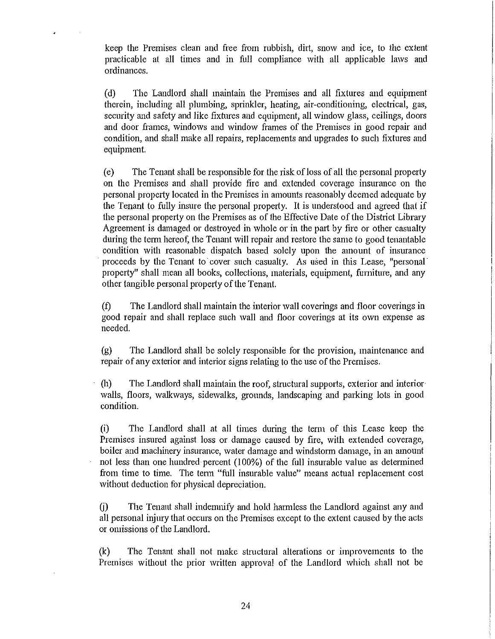keep the Premises clean and free from rubbish, dirt, snow and ice, to the extent practicable at all times and in full compliance with all applicable laws and ordinances.

(d) The Landlord shall maintain the Premises and all fixtures and equipment therein, including all plumbing, sprinkler, heating, air-conditioning, electrical, gas, security and safety and like fixtures and equipment, all window glass, ceilings, doors and door frames, windows and window frames of the Premises in good repair and condition, and shall make all repairs, replacements and upgrades to such fixtures and equipment.

(e) The Tenant shall be responsible for the risk of loss of all the personal property on the Premises and shall provide fire and extended coverage insurance on the personal property located in the Premises in amounts reasonably deemed adequate by the Tenant to fully insure the personal property. It is understood and agreed that if the personal property on the Premises as of the Effective Date of the District Library Agreement is damaged or destroyed in whole or in the part by fire or other casualty during the term hereof, the Tenant will repair and restore the same to good tenantable condition with reasonable dispatch based solely upon the amount of insurance proceeds by the Tenant to cover such casualty. As used in this Lease, "personal property" shall mean all books, collections, materials, equipment, fumiture, and any other tangible personal property of the Tenant.

(f) The Landlord shall maintain the interior wall coverings and floor coverings in good repair and shall replace such wall and floor coverings at its own expense as needed.

(g) The Landlord shall be solely responsible for the provision, maintenance and repair of any exterior and interior signs relating to the use of the Premises.

(h) The Landlord shall maintain the roof, stmctural supports, exterior and interior· walls, floors, walkways, sidewalks, grounds, landscaping and parking lots in good condition.

(i) The Landlord shall at all times during the tenn of this Lease keep the Premises insured against loss or damage caused by fire, with extended coverage, boiler and machinery insurance, water damage and windstorm damage, in an amount not less than one hundred percent (100%) of the full insurable value as determined from time to time. The term "full insurable value" means actual replacement cost without deduction for physical depreciation.

(j) The Tenant shall indemnify and hold harmless the Landlord against any and all personal injury that occurs on the Premises except to the extent caused by the acts or omissions of the Landlord.

(k) The Tenant shall not make stmctural alterations or improvements to the Premises without the prior written approval of the Landlord which shall not be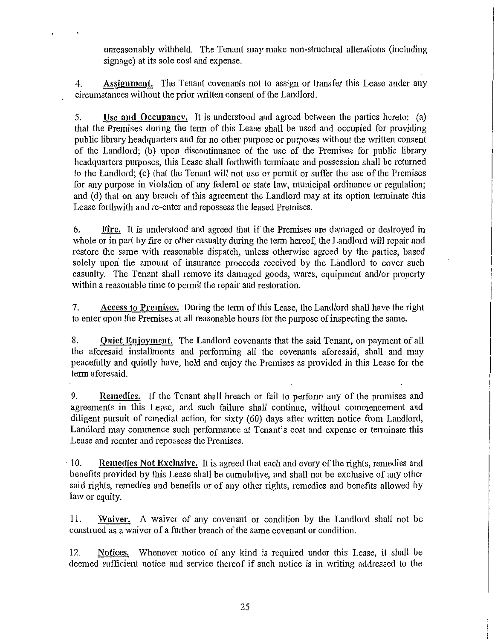unreasonably withheld. The Tenant may make non-structural alterations (including signage) at its sole cost and expense.

4. Assignment. The Tenant covenants not to assign or transfer this Lease under any circumstances without the prior written consent of the Landlord.

5. Use and Occupancy. It is understood and agreed between the parties hereto: (a) that the Premises during the term of this Lease shall be used and occupied for providing public library headquatters and for no other purpose or purposes without the written consent of the Landlord; (b) upon discontinuance of the use of the Premises for public library headquarters purposes, this Lease shall forthwith terminate and possession shall be returned to the Landlord; (c) that the Tenant will not use or permit or suffer the use of the Premises for any purpose in violation of any federal or state law, municipal ordinance or regulation; and (d) that on any breach of this agreement the Landlord may at its option terminate this Lease forthwith and re-enter and repossess the leased Premises.

6. Fire. It is understood and agreed that if the Premises are damaged or destroyed in whole or in part by fire or other casualty during the term hereof, the Landlord will repair and restore the same with reasonable dispatch, unless otherwise agreed by the parties, based solely upon the amount of insurance proceeds received by the Landlord to cover such casualty. The Tenant shall remove its damaged goods, wares, equipment and/or property within a reasonable time to permit the repair and restoration.

7. Access to Premises. During the tenn of this Lease, the Landlord shall have the right to enter upon the Premises at all reasonable hours for the purpose of inspecting the same.

8. Quiet Enjoyment. The Landlord covenants that the said Tenant, on payment of all the aforesaid installments and performing all the covenants aforesaid, shall and may peacefully and quietly have, hold and enjoy the Premises as provided in this Lease for the term aforesaid.

9. Remedies. If the Tenant shall breach or fail to perform any of the promises and agreements in this Lease, and such failure shall continue, without commencement and diligent pursuit of remedial action, for sixty (60) days after written notice from Landlord, Landlord may commence such performance at Tenant's cost and expense or terminate this Lease and reenter and repossess the Premises.

· 10. Remedies Not Exclusive. It is agreed that each and every of the rights, remedies and benefits provided by this Lease shall be cumulative, and shall not be exclusive of any other said rights, remedies and benefits or of any other rights, remedies and benefits allowed by law or equity.

11. Waiver. A waiver of any covenant or condition by the Landlord shall not be construed as a waiver of a further breach of the same covenant or condition.

12. Notices. Whenever notice of any kind is required under this Lease, it shall be deemed sufficient notice and service thereof if such notice is in writing addressed to the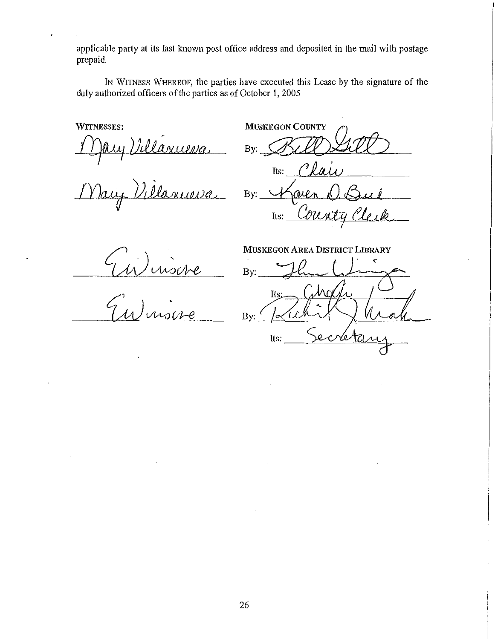applicable party at its last known post office address and deposited in the mail with postage prepaid.

IN WITNESS WHEREOF, the parties have executed this Lease by the signature of the duly authorized officers of the parties as of October 1, 2005

WITNESSES:

*fl}wJ /JJiMM.WceJ* 

May Villanueva By: Karen O. Bui

**MUSKEGON COUNTY** By: Bell 2010 Its:  $\theta$   $\ell$   $\alpha$ 

Kaien D. Bue<br><sup>Its:</sup> Clanty Clerk

UN inscre

MUSKEGON AREA DISTRICT LIBRARY

By: Its: By: ہ ' Its: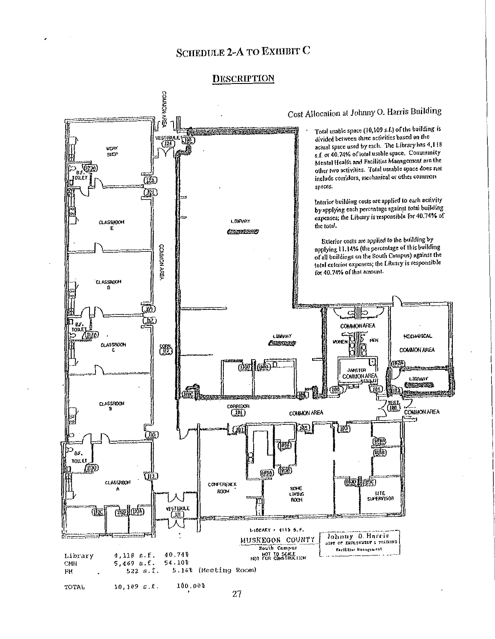# SCHEDULE 2-A TO EXHIDIT C

#### **DESCRIPTION**

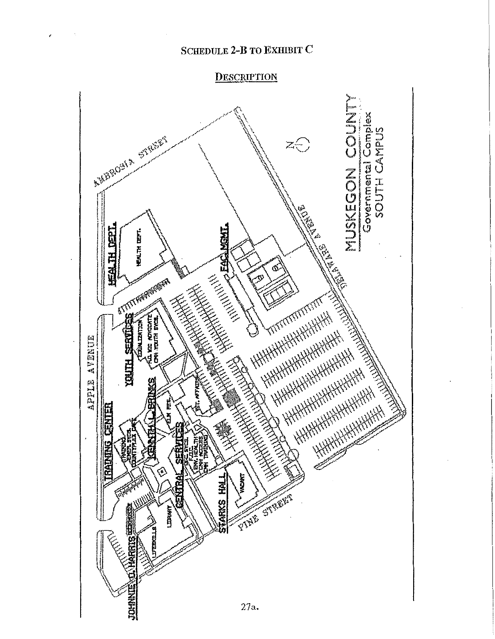# SCHEDULE 2-B TO EXHIBIT C

 $\lambda$ 

# **DESCRIPTION**

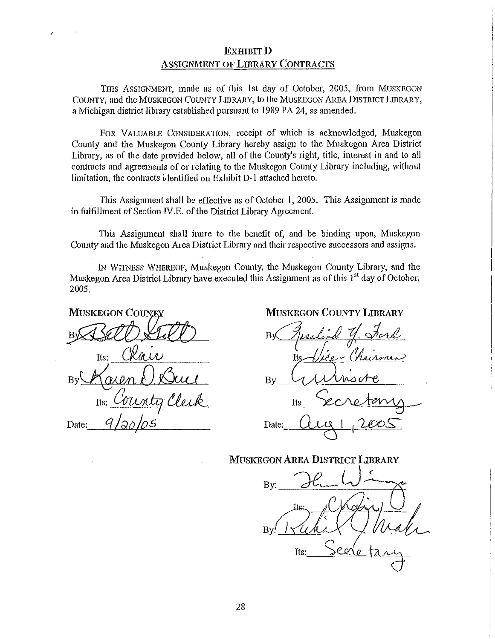# EXHIBIT D ASSIGNMENT OF LIBRARY CONTRACTS

THIS ASSIGNMENT, made as of this 1st day of October, 2005, from MUSKEGON COUNTY, and the MUSKEGON COUNTY LIBRARY, to the MUSKEGON AREA DISTRICT LIBRARY, a Michigan district library established pursuant to 1989 PA 24, as amended.

FOR VALUABLE CONSIDERATION, receipt of which is acknowledged, Muskegon County and the Muskegon County Library hereby assign to the Muskegon Area District Library, as of the date provided below, all of the County's right, title, interest in and to all contracts and agreements of or relating to the Muskegon County Library including, without limitation, the contracts identified on Exhibit D-1 attached hereto.

This Assignment shall be effective as of October 1, 2005. This Assignment is made in fulfillment of Section IV. E. of the District Library Agreement.

This Assignment shall inure to the benefit of, and be binding upon, Muskegon County and the Muskegon Area District Library and their respective successors and assigns.

IN WITNESS WHEREOF, Muskegon County, the Muskegon County Library, and the Muskegon Area District Library have executed this Assignment as of this  $1<sup>st</sup>$  day of October, 2005.

**MUSKEGON COUNEY** Tfs:

Date:

MUSKEGON COUNTY LIBRARY

By Jesslend Y. Word  $B_V$   $\overline{G}$  whisere Its Secretary Date:  $\alpha_{11}$  1005

MUSKEGON AREA DISTRICT LIBRARY

By:  $Its:$   $\geq$   $e$   $\vee$   $e$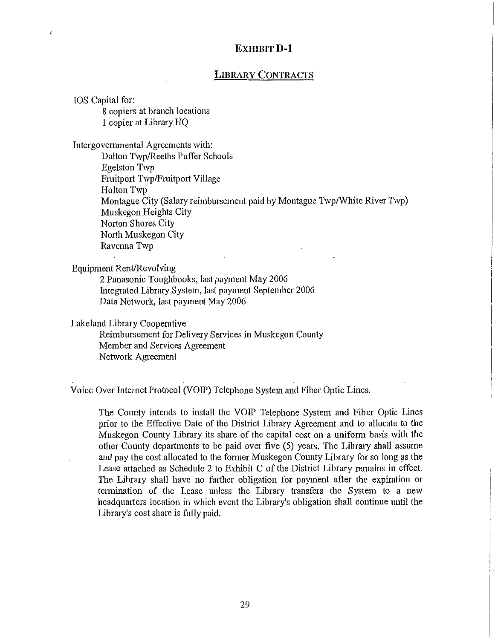# **EXHIBIT D-1**

# **LIBRARY CONTRACTS**

IOS Capital for: 8 copiers at branch locations **1** copier at Library HQ

 $\epsilon$ 

Intergovernmental Agreements with: Dalton Twp/Reeths Puffer Schools Egelston Twp Fruitport Twp/Fruitport Village Holton Twp

Montague City (Salary reimbursement paid by Montague Twp/White River Twp) Muskegon Heights City Norton Shores City North Muskegon City Ravenna Twp

Equipment Rent/Revolving

2 Panasonic Toughbooks, last payment May 2006 Integrated Library System, last payment September 2006 Data Network, last payment May 2006

Lakeland Library Cooperative

Reimbursement for Delivery Services in Muskegon County Member and Services Agreement Network Agreement

Voice Over Intemet Protocol (VOIP) Telephone System and Fiber Optic Lines.

The County intends to install the VOIP Telephone System and Fiber Optic Lines prior to the Effective Date of the District Library Agreement and to allocate to the Muskegon County Library its share of the capital cost on a uniform basis with the other County departments to be paid over five (5) years. The Library shall assume and pay the cost allocated to the former Muskegon County Library for so long as the Lease attached as Schedule 2 to Exhibit C of the District Library remains in effect. The Library shall have no further obligation for payment after the expiration or tennination of the Lease unless the Library transfers the System to a new headqumters location in which event the Library's obligation shall continue until the Library's cost share is fully paid.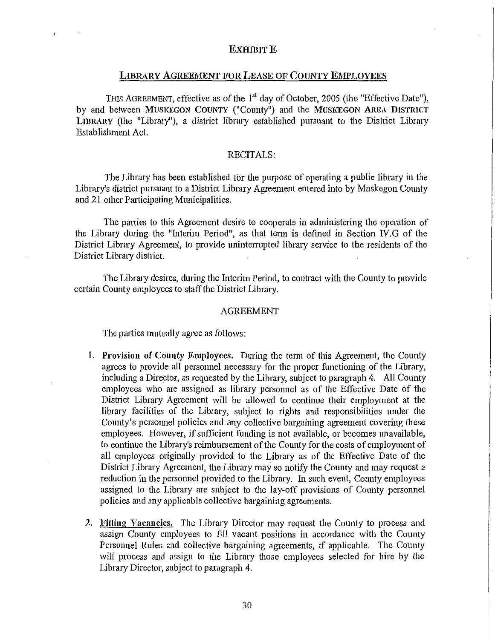#### **EXHIBIT E**

### LIBRARY AGREEMENT FOR LEASE OF COUNTY EMPLOYEES

THIS AGREEMENT, effective as of the 1<sup>st</sup> day of October, 2005 (the "Effective Date"), by and between MUSKEGON COUNTY ("County") and the MUSKEGON AREA DISTRICT LIBRARY (the "Library"), a district library established pursuant to the District Library Establishment Act.

#### RECITALS:

The Library has been established for the purpose of operating a public library in the Library's district pursuant to a District Library Agreement entered into by Muskegon County and 21 other Participating Municipalities.

The parties to this Agreement desire to cooperate in administering the operation of the Library during the "Interim Period", as that tenn is defined in Section *N.G* of the District Library Agreement, to provide uninterrupted library service to the residents of the District Library district.

The Library desires, during the Interim Period, to contract with the County to provide certain County employees to staffthe District Library.

#### AGREEMENT

The parties mutually agree as follows:

- 1. Provision of County Employees. During the term of this Agreement, the County agrees to provide all personnel necessary for the proper functioning of the Library, including a Director, as requested by the Library, subject to paragraph 4. All County employees who are assigned as library personnel as of the Effective Date of the District Library Agreement will be allowed to continue their employment at the library facilities of the Library, subject to rights and responsibilities under the County's personnel policies and any collective bargaining agreement covering these employees. However, if sufficient funding is not available, or becomes unavailable, to continue the Library's reimbursement of the County for the costs of employment of all employees originally provided to the Library as of the Effective Date of the District Library Agreement, the Library may so notify the County and may request a reduction in the personnel provided to the Library. In such event, County employees assigned to the Library are subject to the lay-off provisions of County personnel policies and any applicable collective bargaining agreements.
- 2. Filling Vacancies. The Library Director may request the County to process and assign County employees to fill vacant positions in accordance with the County Personnel Rules and collective bargaining agreements, if applicable. The County will process and assign to the Library those employees selected for hire by the Library Director, subject to paragraph 4.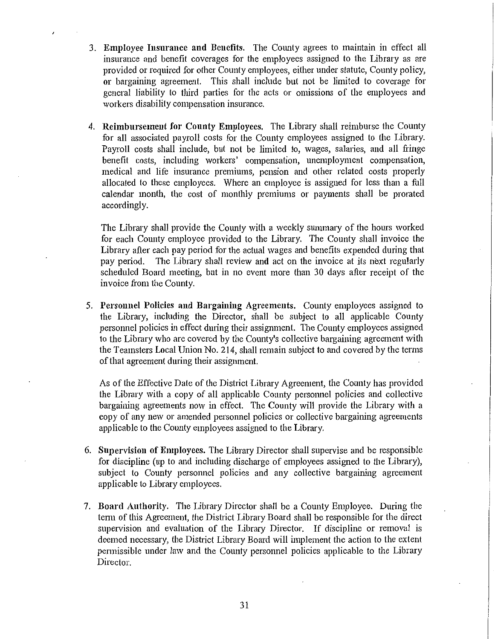- 3. Employee Insurance and Benefits. The County agrees to maintain in effect all insurance and benefit coverages for the employees assigned to the Library as are provided or required for other County employees, either under statute, County policy, or bargaining agreement. This shall include but not be limited to coverage for general liability to third parties for the acts or omissions of the employees and workers disability compensation insurance.
- 4. Reimbursement for County Employees. The Library shall reimburse the County for all associated payroll costs for the County employees assigned to the Library. Payroll costs shall include, but not be limited to, wages, salaries, and all fringe benefit costs, including workers' compensation, unemployment compensation, medical and life insurance premiums, pension and other related costs properly allocated to these employees. Where an employee is assigned for less than a full calendar month, the cost of monthly premiums or payments shall be prorated accordingly.

The Library shall provide the County with a weekly summary of the hours worked for each County employee provided to the Library. The County shall invoice the Library after each pay period for the actual wages and benefits expended during that pay period. The Library shall review and act on the invoice at its next regularly scheduled Board meeting, but in no event more than 30 days after receipt of the invoice from the County.

5. Personnel Policies and Bargaining Agreements. County employees assigned to the Library, including the Director, shall be subject to all applicable County personnel policies in effect during their assignment. The County employees assigned to the Library who are covered by the County's collective bargaining agreement with the Teamsters Local Union No. 214, shall remain subject to and covered by the terms of that agreement during their assignment.

As of the Effective Date of the District Library Agreement, the County has provided the Library with a copy of all applicable County personnel policies and collective bargaining agreements now in effect. The County will provide the Library with a copy of any new or amended personnel policies or collective bargaining agreements applicable to the County employees assigned to the Library.

- 6. Supervision of Employees. The Library Director shall supervise and be responsible for discipline (up to and including discharge of employees assigned to the Library), subject to County personnel policies and any collective bargaining agreement applicable to Library employees.
- 7. Board Authority. The Library Director shall be a County Employee. During the term of this Agreement, the District Library Board shall be responsible for the direct supervision and evaluation of the Library Director. If discipline or removal is deemed necessary, the District Library Board will implement the action to the extent permissible under law and the County personnel policies applicable to the Library Director.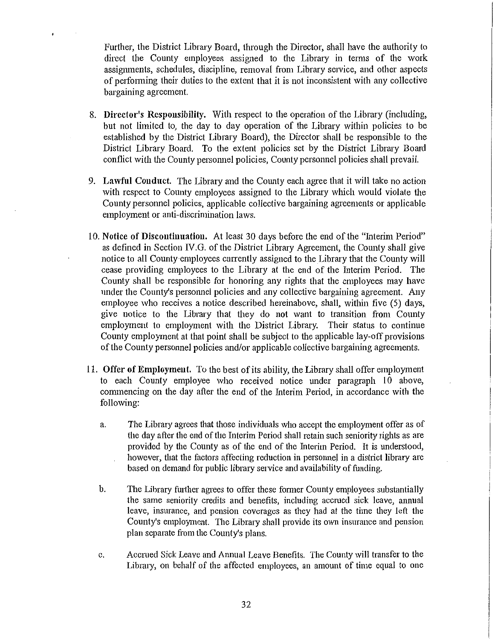Further, the District Library Board, through the Director, shall have the authority to direct the County employees assigned to the Library in terms of the work assignments, schedules, discipline, removal from Library service, and other aspects of performing their duties to the extent that it is not inconsistent with any collective bargaining agreement.

- 8. **Director's Responsibility.** With respect to the operation of the Library (including, but not limited to, the day to day operation of the Library within policies to be established by the District Library Board), the Director shall be responsible to the District Library Board. To the extent policies set by the District Library Board conflict with the County personnel policies, County personnel policies shall prevail.
- 9. **Lawful Conduct.** The Library and the County each agree that it will take no action with respect to County employees assigned to the Library which would violate the County personnel policies, applicable collective bargaining agreements or applicable employment or anti-discrimination laws.
- 10. **Notice of Discontinuation.** At least 30 days before the end of the "Interim Period" as defined in Section IV. G. of the District Library Agreement, the County shall give notice to all County·employees currently assigned to the Library that the County will cease providing employees to the Library at the end of the Interim Period. The County shall be responsible for honoring any rights that the employees may have under the County's personnel policies and any collective bargaining agreement. Any employee who receives a notice described hereinabove, shall, within five (5) days, give notice to the Library that they do not want to transition from County employment to employment with the District Library. Their status to continue County employment at that point shall be subject to the applicable lay-off provisions of the County personnel policies and/or applicable collective bargaining agreements.
- **11. Offer of Employment.** To the best of its ability, the Library shall offer employment to each County employee who received notice under paragraph 10 above, commencing on the day after the end of the Interim Petiod, in accordance with the following:
	- a. The Library agrees that those individuals who accept the employment offer as of the day after the end of the Interim Period shall retain such seniority rights as are provided by the County as of the end of the Interim Period. It is understood, however, that the factors affecting reduction in personnel in a district library are based on demand for public library service and availability of funding.
	- b. The Library further agrees to offer these fonner County employees substantially the same seniority credits and benefits, including accrued sick leave, annual leave, insurance, and pension coverages as they had at the time they left the County's employment. The Library shall provide its own insurance and pension plan separate from the County's plans.
	- c. Accrued Sick Leave and Annual Leave Benefits. The County will transfer to the Library, on behalf of the affected employees, an amount of time equal to one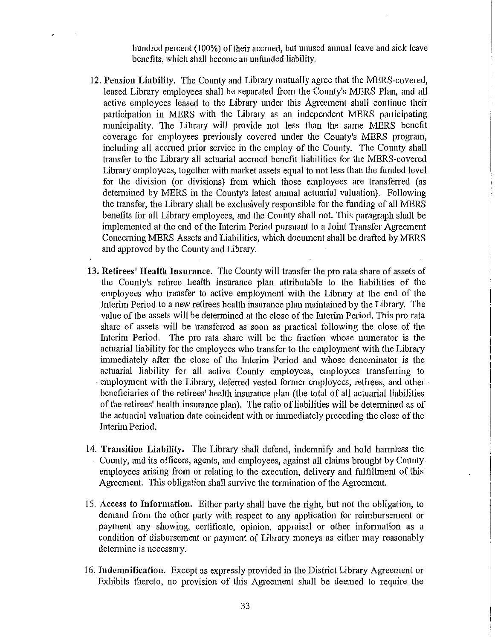hundred percent (100%) of their accrued, but unused annual leave and sick leave benefits, which shall become an unfunded liability.

- 12. **Pension Liability.** The County and Library mutually agree that the MERS-covered, leased Library employees shall be separated from the County's MERS Plan, and all active employees leased to the Library under this Agreement shall continue their participation in MERS with the Library as an independent MERS participating municipality. The Library will provide not less than the same MERS benefit coverage for employees previously covered under the County's MERS program, including all accrued prior service in the employ of the County. The County shall transfer to the Library all actuarial accrued benefit liabilities for the MERS-covered Library employees, together with market assets equal to not less than the funded level for the division (or divisions) from which those employees are transferred (as determined by MERS in the County's latest annual actuarial valuation). Following the transfer, the Library shall be exclusively responsible for the funding of all MERS benefits for all Library employees, and the County shall not. This paragraph shall be implemented at the end of the Interim Period pursuant to a Joint Transfer Agreement Concerning MERS Assets and Liabilities, which document shall be drafted by MERS and approved by the County and Library.
- **13. Retirees' Health Insurance.** The County will transfer the pro rata share of assets of the County's retiree health insurance plan attributable to the liabilities of the employees who transfer to active employment with the Library at the end of the Interim Period to a new retirees health insurance plan maintained by the Library. The value of the assets will be determined at the close of the Interim Period. This pro rata share of assets will be transferred as soon as practical following the close of the Interim Period. The pro rata share will be the fraction whose numerator is the actuarial liability for the employees who transfer to the employment with the Library immediately after the close of the Interim Period and whose denominator is the actuarial liability for all active County employees, employees transferring to employment with the Library, deferred vested former employees, retirees, and other · beneficiaries of the retirees' health insurance plan (the total of all actuarial liabilities of the retirees' health insurance plan). The ratio of liabilities will be determined as of the actuarial valuation date coincident with or immediately preceding the close of the Interim Period.
- 14. **Transition Liability.** The Library shall defend, indemnify and hold harmless the County, and its officers, agents, and employees, against all claims brought by Countyemployees arising from or relating to the execution, delivery and fulfilhnent of this Agreement. This obligation shall survive the termination of the Agreement.
- 15. Access **to Information.** Either patiy shall have the right, but not the obligation, to demand from the other party with respect to any application for reimbursement or payment any showing, certificate, opinion, appraisal or other information as a condition of disbursement or payment of Library moneys as either may reasonably detennine is necessary.
- 16. **Indemnification.** Except as expressly provided in the District Library Agreement or Exhibits thereto, no provision of this Agreement shall be deemed to require the